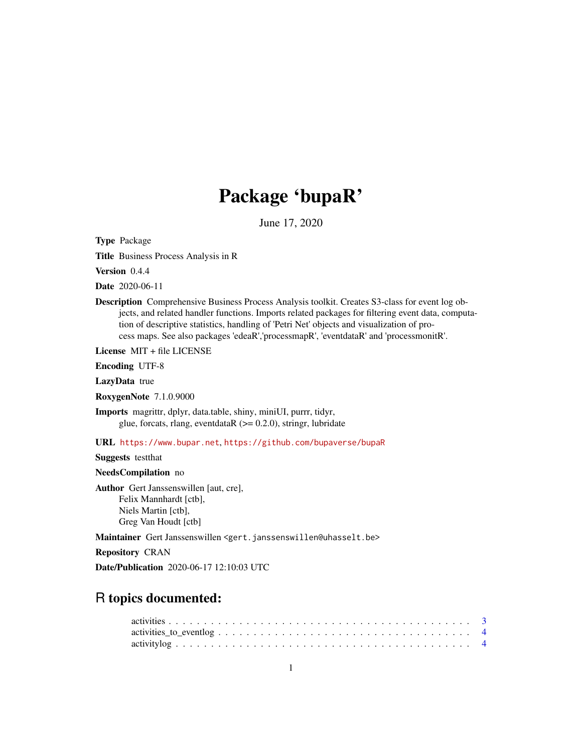# Package 'bupaR'

June 17, 2020

Type Package

Title Business Process Analysis in R

Version 0.4.4

Date 2020-06-11

Description Comprehensive Business Process Analysis toolkit. Creates S3-class for event log objects, and related handler functions. Imports related packages for filtering event data, computation of descriptive statistics, handling of 'Petri Net' objects and visualization of process maps. See also packages 'edeaR','processmapR', 'eventdataR' and 'processmonitR'.

License MIT + file LICENSE

Encoding UTF-8

LazyData true

RoxygenNote 7.1.0.9000

Imports magrittr, dplyr, data.table, shiny, miniUI, purrr, tidyr, glue, forcats, rlang, eventdata $R$  ( $> = 0.2.0$ ), stringr, lubridate

URL <https://www.bupar.net>, <https://github.com/bupaverse/bupaR>

Suggests testthat

NeedsCompilation no

Author Gert Janssenswillen [aut, cre], Felix Mannhardt [ctb], Niels Martin [ctb], Greg Van Houdt [ctb]

Maintainer Gert Janssenswillen <gert.janssenswillen@uhasselt.be>

Repository CRAN

Date/Publication 2020-06-17 12:10:03 UTC

## R topics documented: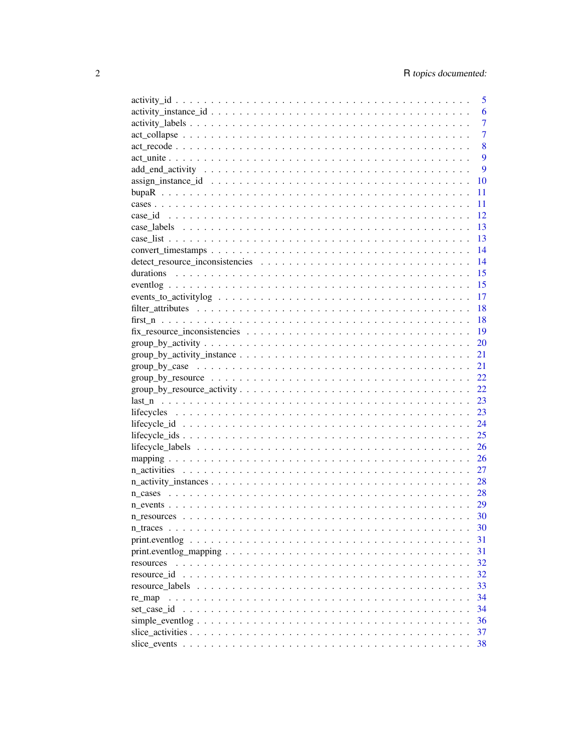|                                                                                                                    | 5    |
|--------------------------------------------------------------------------------------------------------------------|------|
|                                                                                                                    | 6    |
|                                                                                                                    | 7    |
|                                                                                                                    | 7    |
|                                                                                                                    | 8    |
|                                                                                                                    | 9    |
|                                                                                                                    | 9    |
| $assign\_instance_id \dots \dots \dots \dots \dots \dots \dots \dots \dots \dots \dots \dots \dots \dots$          | 10   |
|                                                                                                                    | 11   |
|                                                                                                                    | 11   |
|                                                                                                                    | 12   |
|                                                                                                                    | 13   |
|                                                                                                                    | 13   |
|                                                                                                                    | 14   |
|                                                                                                                    | 14   |
| durations                                                                                                          | 15   |
|                                                                                                                    | 15   |
|                                                                                                                    |      |
|                                                                                                                    | 17   |
|                                                                                                                    | 18   |
|                                                                                                                    | 18   |
|                                                                                                                    | - 19 |
|                                                                                                                    | 20   |
| $group_by_activity_instance \dots \dots \dots \dots \dots \dots \dots \dots \dots \dots \dots \dots \dots \dots$   | 21   |
|                                                                                                                    | 21   |
|                                                                                                                    | 22   |
|                                                                                                                    | 22   |
|                                                                                                                    | 23   |
|                                                                                                                    | 23   |
|                                                                                                                    | 24   |
|                                                                                                                    | 25   |
|                                                                                                                    | 26   |
|                                                                                                                    | 26   |
|                                                                                                                    | 27   |
|                                                                                                                    | 28   |
|                                                                                                                    |      |
|                                                                                                                    | 29   |
|                                                                                                                    | 30   |
|                                                                                                                    | 30   |
| $print.eventlog \dots \dots \dots \dots \dots \dots \dots \dots \dots \dots \dots \dots \dots \dots$               | 31   |
| $print.eventlog_mapping \dots \dots \dots \dots \dots \dots \dots \dots \dots \dots \dots \dots \dots \dots \dots$ | 31   |
| resources                                                                                                          | 32   |
|                                                                                                                    | 32   |
|                                                                                                                    | 33   |
|                                                                                                                    | 34   |
|                                                                                                                    | 34   |
|                                                                                                                    | 36   |
|                                                                                                                    | 37   |
|                                                                                                                    | 38   |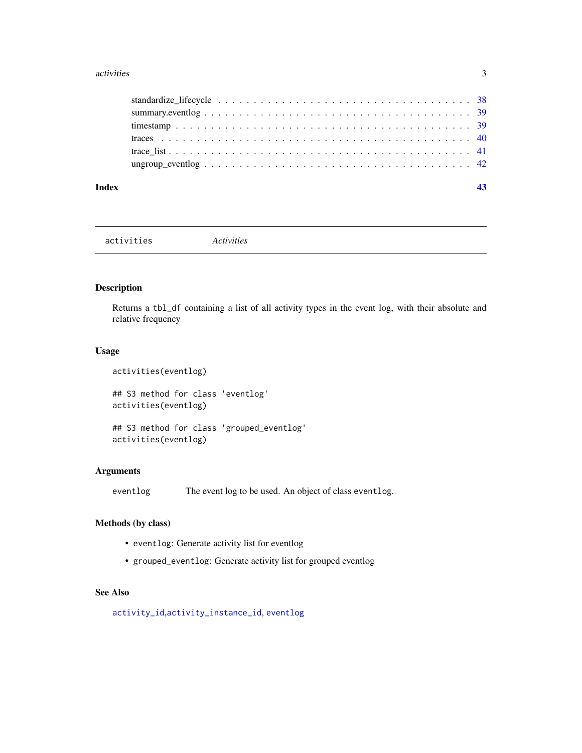#### <span id="page-2-0"></span>activities 3

| Index |  |
|-------|--|
|       |  |
|       |  |
|       |  |
|       |  |
|       |  |
|       |  |

activities *Activities*

## Description

Returns a tbl\_df containing a list of all activity types in the event log, with their absolute and relative frequency

## Usage

```
activities(eventlog)
## S3 method for class 'eventlog'
activities(eventlog)
## S3 method for class 'grouped_eventlog'
activities(eventlog)
```
## Arguments

eventlog The event log to be used. An object of class eventlog.

## Methods (by class)

- eventlog: Generate activity list for eventlog
- grouped\_eventlog: Generate activity list for grouped eventlog

## See Also

[activity\\_id](#page-4-1),[activity\\_instance\\_id](#page-5-1), [eventlog](#page-14-1)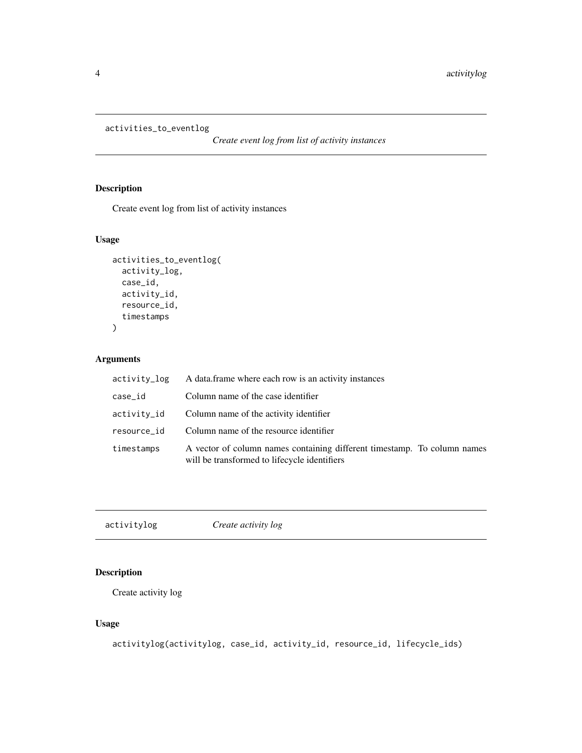```
activities_to_eventlog
```
*Create event log from list of activity instances*

## Description

Create event log from list of activity instances

## Usage

```
activities_to_eventlog(
  activity_log,
  case_id,
  activity_id,
  resource_id,
  timestamps
)
```
## Arguments

| activity_log | A data frame where each row is an activity instances                                                                     |
|--------------|--------------------------------------------------------------------------------------------------------------------------|
| case_id      | Column name of the case identifier                                                                                       |
| activity_id  | Column name of the activity identifier                                                                                   |
| resource_id  | Column name of the resource identifier                                                                                   |
| timestamps   | A vector of column names containing different timestamp. To column names<br>will be transformed to lifecycle identifiers |

activitylog *Create activity log*

## Description

Create activity log

## Usage

activitylog(activitylog, case\_id, activity\_id, resource\_id, lifecycle\_ids)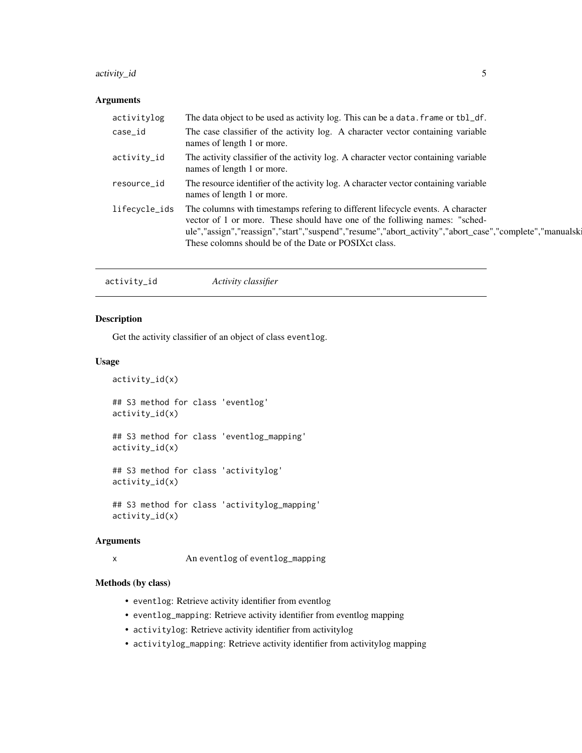## <span id="page-4-0"></span>activity\_id 5

## Arguments

| The case classifier of the activity log. A character vector containing variable<br>case_id<br>names of length 1 or more.<br>The activity classifier of the activity log. A character vector containing variable<br>activity_id<br>names of length 1 or more.<br>The resource identifier of the activity log. A character vector containing variable<br>resource_id<br>names of length 1 or more.<br>The columns with timestamps refering to different lifecycle events. A character<br>lifecycle_ids<br>vector of 1 or more. These should have one of the folliwing names: "sched-<br>These colomns should be of the Date or POSIX ct class. | activitylog | The data object to be used as activity log. This can be a data, frame or tbl_df.                       |
|----------------------------------------------------------------------------------------------------------------------------------------------------------------------------------------------------------------------------------------------------------------------------------------------------------------------------------------------------------------------------------------------------------------------------------------------------------------------------------------------------------------------------------------------------------------------------------------------------------------------------------------------|-------------|--------------------------------------------------------------------------------------------------------|
|                                                                                                                                                                                                                                                                                                                                                                                                                                                                                                                                                                                                                                              |             |                                                                                                        |
|                                                                                                                                                                                                                                                                                                                                                                                                                                                                                                                                                                                                                                              |             |                                                                                                        |
|                                                                                                                                                                                                                                                                                                                                                                                                                                                                                                                                                                                                                                              |             |                                                                                                        |
|                                                                                                                                                                                                                                                                                                                                                                                                                                                                                                                                                                                                                                              |             | ule","assign","reassign","start","suspend","resume","abort_activity","abort_case","complete","manualsk |

<span id="page-4-1"></span>

| activity_id | Activity classifier |  |
|-------------|---------------------|--|
|-------------|---------------------|--|

## Description

Get the activity classifier of an object of class eventlog.

## Usage

activity\_id(x)

## S3 method for class 'eventlog' activity\_id(x)

## S3 method for class 'eventlog\_mapping' activity\_id(x)

## S3 method for class 'activitylog' activity\_id(x)

## S3 method for class 'activitylog\_mapping' activity\_id(x)

#### Arguments

x An eventlog of eventlog\_mapping

## Methods (by class)

- eventlog: Retrieve activity identifier from eventlog
- eventlog\_mapping: Retrieve activity identifier from eventlog mapping
- activitylog: Retrieve activity identifier from activitylog
- activitylog\_mapping: Retrieve activity identifier from activitylog mapping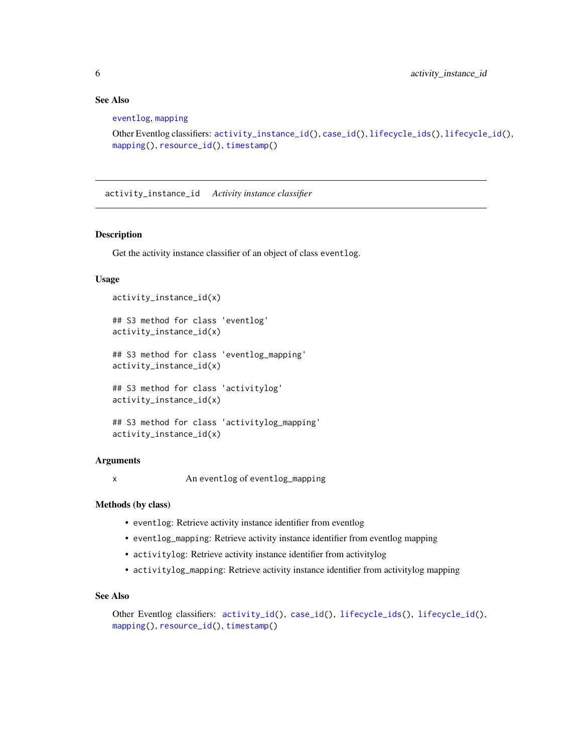## See Also

[eventlog](#page-14-1), [mapping](#page-25-1)

```
Other Eventlog classifiers: activity_instance_id(), case_id(), lifecycle_ids(), lifecycle_id(),
mapping(), resource_id(), timestamp()
```
<span id="page-5-1"></span>activity\_instance\_id *Activity instance classifier*

## Description

Get the activity instance classifier of an object of class eventlog.

#### Usage

```
activity_instance_id(x)
## S3 method for class 'eventlog'
activity_instance_id(x)
## S3 method for class 'eventlog_mapping'
activity_instance_id(x)
## S3 method for class 'activitylog'
activity_instance_id(x)
## S3 method for class 'activitylog_mapping'
activity_instance_id(x)
```
#### Arguments

x An eventlog of eventlog\_mapping

#### Methods (by class)

- eventlog: Retrieve activity instance identifier from eventlog
- eventlog\_mapping: Retrieve activity instance identifier from eventlog mapping
- activitylog: Retrieve activity instance identifier from activitylog
- activitylog\_mapping: Retrieve activity instance identifier from activitylog mapping

## See Also

```
Other Eventlog classifiers: activity_id(), case_id(), lifecycle_ids(), lifecycle_id(),
mapping(), resource_id(), timestamp()
```
<span id="page-5-0"></span>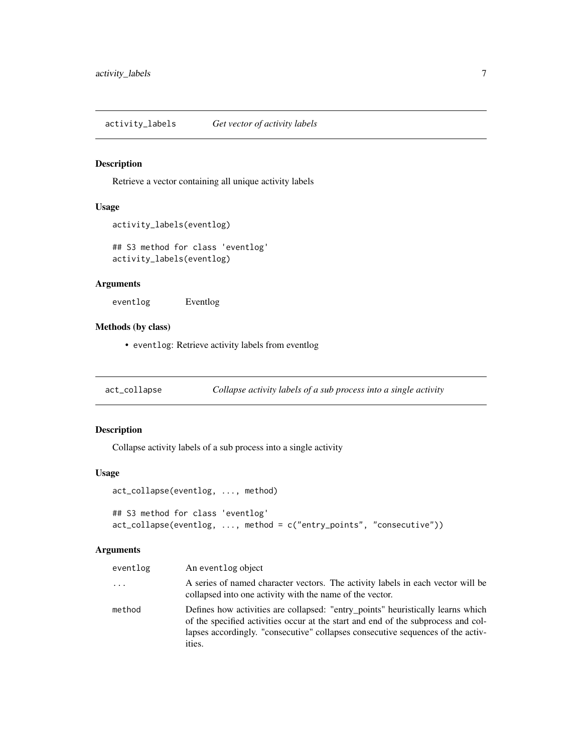<span id="page-6-0"></span>activity\_labels *Get vector of activity labels*

## Description

Retrieve a vector containing all unique activity labels

#### Usage

```
activity_labels(eventlog)
```
## S3 method for class 'eventlog' activity\_labels(eventlog)

## Arguments

eventlog Eventlog

## Methods (by class)

• eventlog: Retrieve activity labels from eventlog

<span id="page-6-1"></span>act\_collapse *Collapse activity labels of a sub process into a single activity*

## Description

Collapse activity labels of a sub process into a single activity

#### Usage

```
act_collapse(eventlog, ..., method)
```

```
## S3 method for class 'eventlog'
act_collapse(eventlog, ..., method = c("entry_points", "consecutive"))
```

| eventlog | An eventlog object                                                                                                                                                                                                                                                |
|----------|-------------------------------------------------------------------------------------------------------------------------------------------------------------------------------------------------------------------------------------------------------------------|
| $\ddots$ | A series of named character vectors. The activity labels in each vector will be<br>collapsed into one activity with the name of the vector.                                                                                                                       |
| method   | Defines how activities are collapsed: "entry_points" heuristically learns which<br>of the specified activities occur at the start and end of the subprocess and col-<br>lapses accordingly. "consecutive" collapses consecutive sequences of the activ-<br>ities. |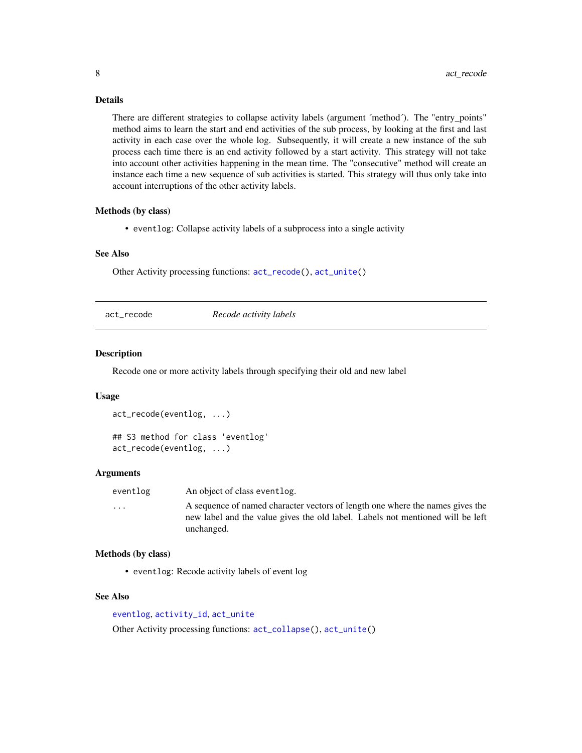## Details

There are different strategies to collapse activity labels (argument 'method'). The "entry points" method aims to learn the start and end activities of the sub process, by looking at the first and last activity in each case over the whole log. Subsequently, it will create a new instance of the sub process each time there is an end activity followed by a start activity. This strategy will not take into account other activities happening in the mean time. The "consecutive" method will create an instance each time a new sequence of sub activities is started. This strategy will thus only take into account interruptions of the other activity labels.

#### Methods (by class)

• eventlog: Collapse activity labels of a subprocess into a single activity

#### See Also

Other Activity processing functions: [act\\_recode\(](#page-7-1)), [act\\_unite\(](#page-8-1))

<span id="page-7-1"></span>act\_recode *Recode activity labels*

#### **Description**

Recode one or more activity labels through specifying their old and new label

#### Usage

```
act_recode(eventlog, ...)
## S3 method for class 'eventlog'
act_recode(eventlog, ...)
```
#### Arguments

eventlog An object of class eventlog.

... A sequence of named character vectors of length one where the names gives the new label and the value gives the old label. Labels not mentioned will be left unchanged.

#### Methods (by class)

• eventlog: Recode activity labels of event log

#### See Also

```
eventlog, activity_id, act_unite
Other Activity processing functions: act_collapse(), act_unite()
```
<span id="page-7-0"></span>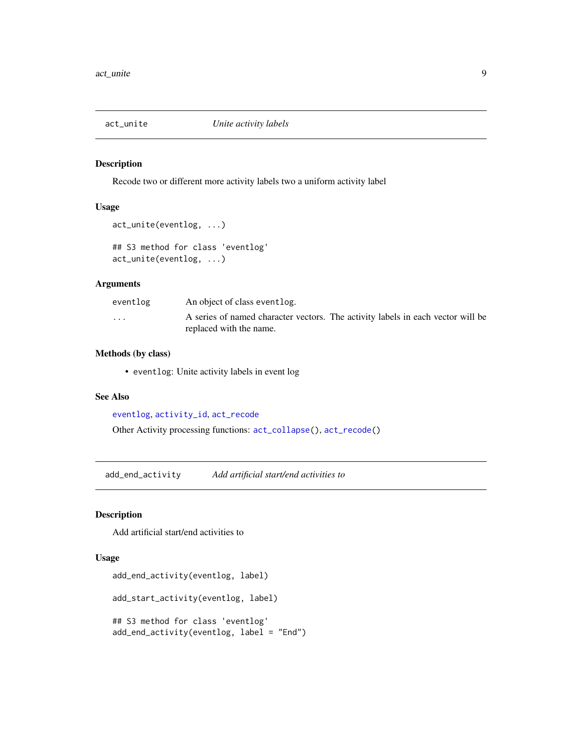<span id="page-8-1"></span><span id="page-8-0"></span>

Recode two or different more activity labels two a uniform activity label

#### Usage

```
act_unite(eventlog, ...)
```

```
## S3 method for class 'eventlog'
act_unite(eventlog, ...)
```
#### Arguments

| eventlog                | An object of class event log.                                                                              |
|-------------------------|------------------------------------------------------------------------------------------------------------|
| $\cdot$ $\cdot$ $\cdot$ | A series of named character vectors. The activity labels in each vector will be<br>replaced with the name. |

#### Methods (by class)

• eventlog: Unite activity labels in event log

## See Also

[eventlog](#page-14-1), [activity\\_id](#page-4-1), [act\\_recode](#page-7-1)

Other Activity processing functions: [act\\_collapse\(](#page-6-1)), [act\\_recode\(](#page-7-1))

add\_end\_activity *Add artificial start/end activities to*

## Description

Add artificial start/end activities to

## Usage

```
add_end_activity(eventlog, label)
add_start_activity(eventlog, label)
## S3 method for class 'eventlog'
add_end_activity(eventlog, label = "End")
```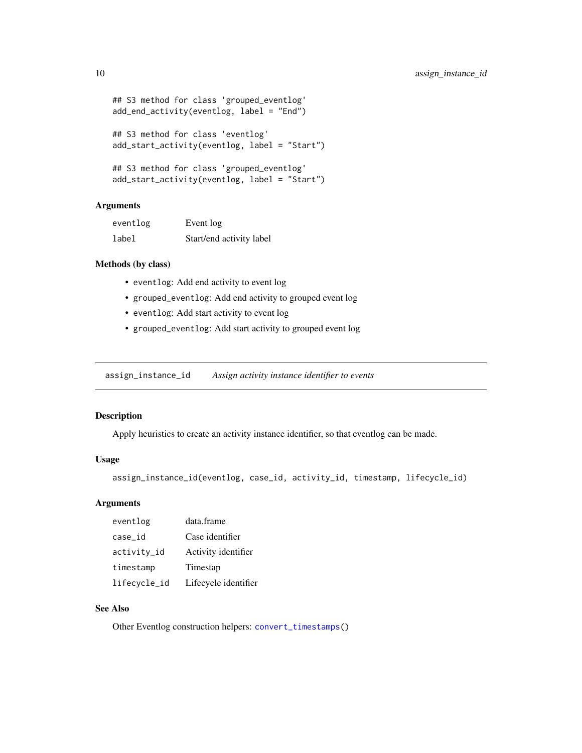```
## S3 method for class 'grouped_eventlog'
add_end_activity(eventlog, label = "End")
## S3 method for class 'eventlog'
add_start_activity(eventlog, label = "Start")
## S3 method for class 'grouped_eventlog'
add_start_activity(eventlog, label = "Start")
```
## Arguments

| eventlog | Event log                |
|----------|--------------------------|
| label    | Start/end activity label |

#### Methods (by class)

- eventlog: Add end activity to event log
- grouped\_eventlog: Add end activity to grouped event log
- eventlog: Add start activity to event log
- grouped\_eventlog: Add start activity to grouped event log

<span id="page-9-1"></span>assign\_instance\_id *Assign activity instance identifier to events*

#### Description

Apply heuristics to create an activity instance identifier, so that eventlog can be made.

## Usage

```
assign_instance_id(eventlog, case_id, activity_id, timestamp, lifecycle_id)
```
#### Arguments

| eventlog     | data.frame           |
|--------------|----------------------|
| case_id      | Case identifier      |
| activity_id  | Activity identifier  |
| timestamp    | Timestap             |
| lifecycle_id | Lifecycle identifier |

## See Also

Other Eventlog construction helpers: [convert\\_timestamps\(](#page-13-1))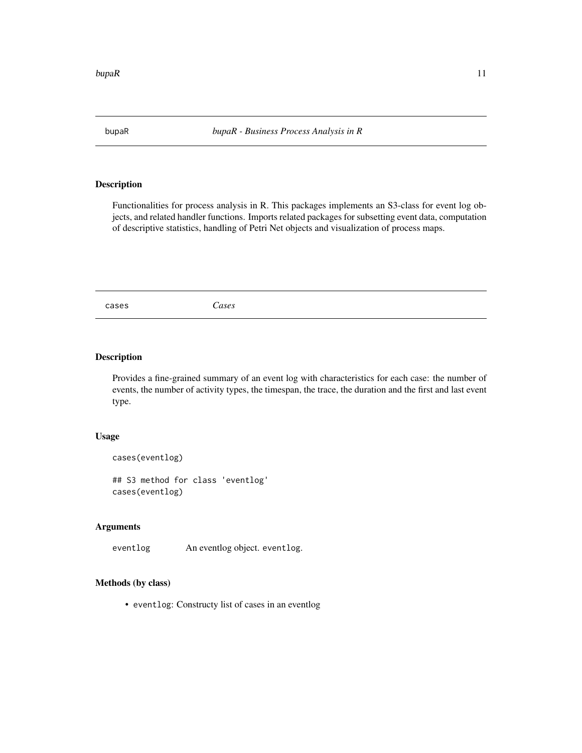<span id="page-10-0"></span>

Functionalities for process analysis in R. This packages implements an S3-class for event log objects, and related handler functions. Imports related packages for subsetting event data, computation of descriptive statistics, handling of Petri Net objects and visualization of process maps.

<span id="page-10-1"></span>cases *Cases*

#### Description

Provides a fine-grained summary of an event log with characteristics for each case: the number of events, the number of activity types, the timespan, the trace, the duration and the first and last event type.

#### Usage

```
cases(eventlog)
## S3 method for class 'eventlog'
cases(eventlog)
```
#### Arguments

eventlog An eventlog object. eventlog.

## Methods (by class)

• eventlog: Constructy list of cases in an eventlog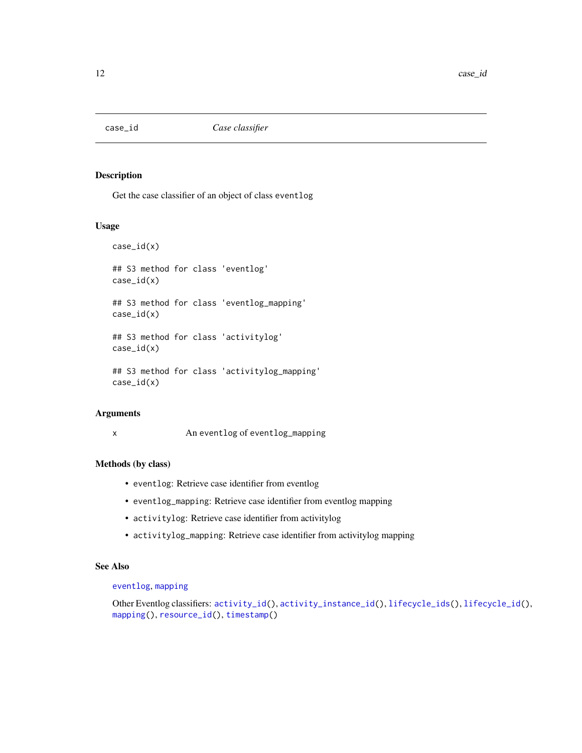<span id="page-11-1"></span><span id="page-11-0"></span>

Get the case classifier of an object of class eventlog

#### Usage

case\_id(x) ## S3 method for class 'eventlog' case\_id(x) ## S3 method for class 'eventlog\_mapping' case\_id(x) ## S3 method for class 'activitylog' case\_id(x) ## S3 method for class 'activitylog\_mapping' case\_id(x)

## Arguments

x An eventlog of eventlog\_mapping

#### Methods (by class)

- eventlog: Retrieve case identifier from eventlog
- eventlog\_mapping: Retrieve case identifier from eventlog mapping
- activitylog: Retrieve case identifier from activitylog
- activitylog\_mapping: Retrieve case identifier from activitylog mapping

#### See Also

## [eventlog](#page-14-1), [mapping](#page-25-1)

Other Eventlog classifiers: [activity\\_id\(](#page-4-1)), [activity\\_instance\\_id\(](#page-5-1)), [lifecycle\\_ids\(](#page-24-1)), [lifecycle\\_id\(](#page-23-1)), [mapping\(](#page-25-1)), [resource\\_id\(](#page-31-1)), [timestamp\(](#page-38-1))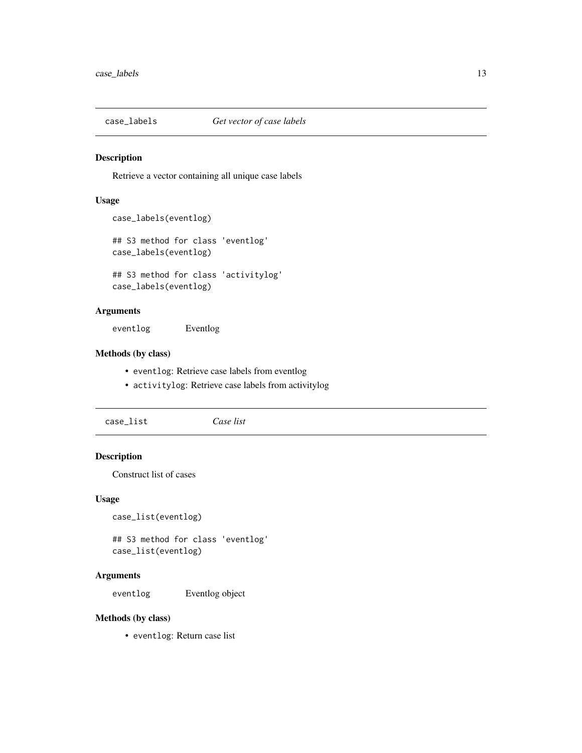<span id="page-12-0"></span>

Retrieve a vector containing all unique case labels

#### Usage

```
case_labels(eventlog)
```

```
## S3 method for class 'eventlog'
case_labels(eventlog)
```

```
## S3 method for class 'activitylog'
case_labels(eventlog)
```
## Arguments

eventlog Eventlog

#### Methods (by class)

- eventlog: Retrieve case labels from eventlog
- activitylog: Retrieve case labels from activitylog

case\_list *Case list*

## Description

Construct list of cases

#### Usage

case\_list(eventlog)

## S3 method for class 'eventlog' case\_list(eventlog)

#### Arguments

eventlog Eventlog object

## Methods (by class)

• eventlog: Return case list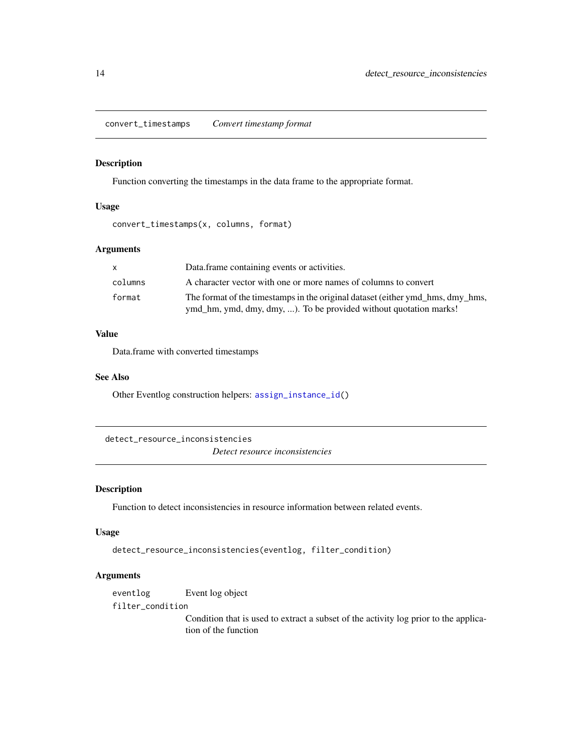<span id="page-13-1"></span><span id="page-13-0"></span>convert\_timestamps *Convert timestamp format*

## Description

Function converting the timestamps in the data frame to the appropriate format.

#### Usage

convert\_timestamps(x, columns, format)

## Arguments

| X       | Data frame containing events or activities.                                                                                                         |
|---------|-----------------------------------------------------------------------------------------------------------------------------------------------------|
| columns | A character vector with one or more names of columns to convert                                                                                     |
| format  | The format of the timestamps in the original dataset (either ymd_hms, dmy_hms,<br>ymd_hm, ymd, dmy, dmy, ). To be provided without quotation marks! |

## Value

Data.frame with converted timestamps

#### See Also

Other Eventlog construction helpers: [assign\\_instance\\_id\(](#page-9-1))

detect\_resource\_inconsistencies *Detect resource inconsistencies*

## Description

Function to detect inconsistencies in resource information between related events.

#### Usage

```
detect_resource_inconsistencies(eventlog, filter_condition)
```
## Arguments

eventlog Event log object

filter\_condition

Condition that is used to extract a subset of the activity log prior to the application of the function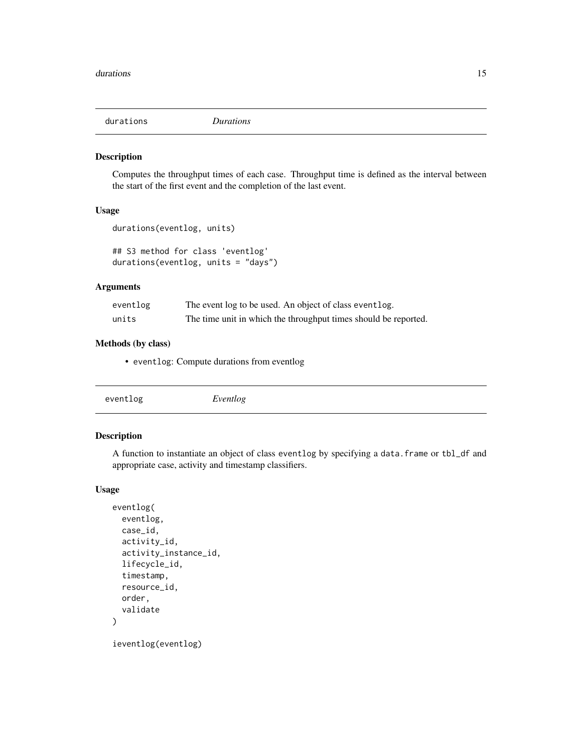<span id="page-14-0"></span>

Computes the throughput times of each case. Throughput time is defined as the interval between the start of the first event and the completion of the last event.

## Usage

```
durations(eventlog, units)
```
## S3 method for class 'eventlog' durations(eventlog, units = "days")

## Arguments

| eventlog | The event log to be used. An object of class event log.         |
|----------|-----------------------------------------------------------------|
| units    | The time unit in which the throughput times should be reported. |

#### Methods (by class)

• eventlog: Compute durations from eventlog

<span id="page-14-1"></span>

## Description

A function to instantiate an object of class eventlog by specifying a data.frame or tbl\_df and appropriate case, activity and timestamp classifiers.

#### Usage

```
eventlog(
 eventlog,
 case_id,
  activity_id,
  activity_instance_id,
  lifecycle_id,
  timestamp,
  resource_id,
  order,
  validate
)
```
ieventlog(eventlog)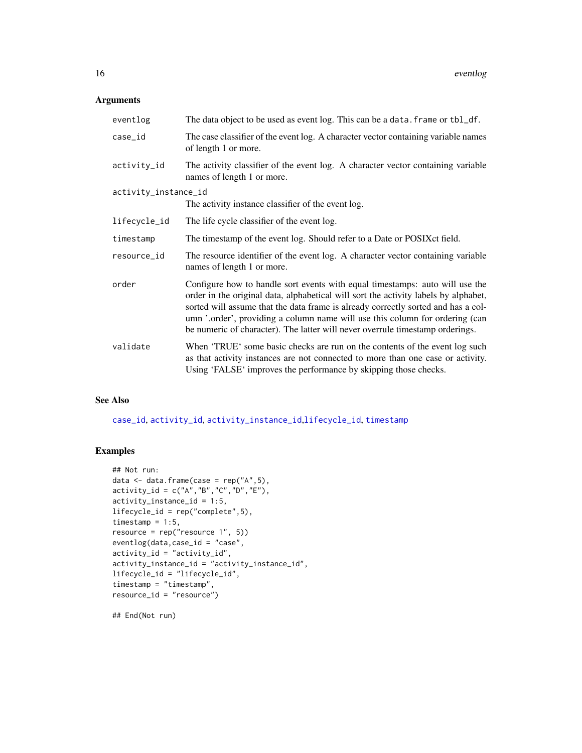## <span id="page-15-0"></span>Arguments

| eventlog             | The data object to be used as event log. This can be a data. frame or tbl_df.                                                                                                                                                                                                                                                                                                                                             |
|----------------------|---------------------------------------------------------------------------------------------------------------------------------------------------------------------------------------------------------------------------------------------------------------------------------------------------------------------------------------------------------------------------------------------------------------------------|
| case_id              | The case classifier of the event log. A character vector containing variable names<br>of length 1 or more.                                                                                                                                                                                                                                                                                                                |
| activity_id          | The activity classifier of the event log. A character vector containing variable<br>names of length 1 or more.                                                                                                                                                                                                                                                                                                            |
| activity_instance_id |                                                                                                                                                                                                                                                                                                                                                                                                                           |
|                      | The activity instance classifier of the event log.                                                                                                                                                                                                                                                                                                                                                                        |
| lifecycle_id         | The life cycle classifier of the event log.                                                                                                                                                                                                                                                                                                                                                                               |
| timestamp            | The timestamp of the event log. Should refer to a Date or POSIXct field.                                                                                                                                                                                                                                                                                                                                                  |
| resource_id          | The resource identifier of the event log. A character vector containing variable<br>names of length 1 or more.                                                                                                                                                                                                                                                                                                            |
| order                | Configure how to handle sort events with equal timestamps: auto will use the<br>order in the original data, alphabetical will sort the activity labels by alphabet,<br>sorted will assume that the data frame is already correctly sorted and has a col-<br>umn '.order', providing a column name will use this column for ordering (can<br>be numeric of character). The latter will never overrule timestamp orderings. |
| validate             | When 'TRUE' some basic checks are run on the contents of the event log such<br>as that activity instances are not connected to more than one case or activity.<br>Using 'FALSE' improves the performance by skipping those checks.                                                                                                                                                                                        |

## See Also

[case\\_id](#page-11-1), [activity\\_id](#page-4-1), [activity\\_instance\\_id](#page-5-1),[lifecycle\\_id](#page-23-1), [timestamp](#page-38-1)

## Examples

```
## Not run:
data \leq data.frame(case = rep("A", 5),
activity_id = c("A", "B", "C", "D", "E"),activity_instance_id = 1:5,
lifecycle_id = rep("complete",5),
timestamp = 1:5,
resource = rep("resource 1", 5))
eventlog(data,case_id = "case",
activity_id = "activity_id",
activity_instance_id = "activity_instance_id",
lifecycle_id = "lifecycle_id",
timestamp = "timestamp",
resource_id = "resource")
```
## End(Not run)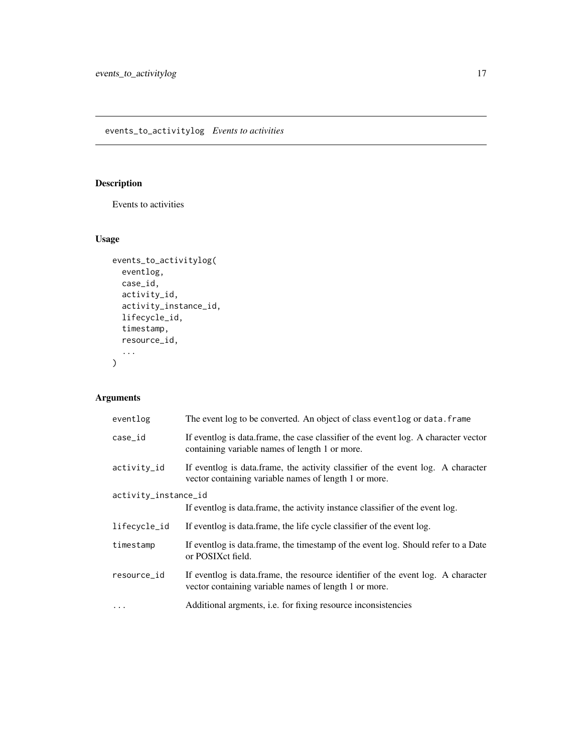<span id="page-16-0"></span>Events to activities

## Usage

```
events_to_activitylog(
  eventlog,
  case_id,
  activity_id,
  activity_instance_id,
  lifecycle_id,
  timestamp,
  resource_id,
  ...
\mathcal{L}
```

| eventlog             | The event log to be converted. An object of class eventlog or data. frame                                                                 |
|----------------------|-------------------------------------------------------------------------------------------------------------------------------------------|
| case_id              | If eventlog is data.frame, the case classifier of the event log. A character vector<br>containing variable names of length 1 or more.     |
| activity_id          | If eventlog is data frame, the activity classifier of the event log. A character<br>vector containing variable names of length 1 or more. |
| activity_instance_id |                                                                                                                                           |
|                      | If event log is data frame, the activity instance classifier of the event log.                                                            |
| lifecycle_id         | If eventlog is data.frame, the life cycle classifier of the event log.                                                                    |
| timestamp            | If eventlog is data.frame, the timestamp of the event log. Should refer to a Date<br>or POSIXct field.                                    |
| resource_id          | If eventlog is data frame, the resource identifier of the event log. A character<br>vector containing variable names of length 1 or more. |
| $\cdots$             | Additional argments, <i>i.e.</i> for fixing resource inconsistencies                                                                      |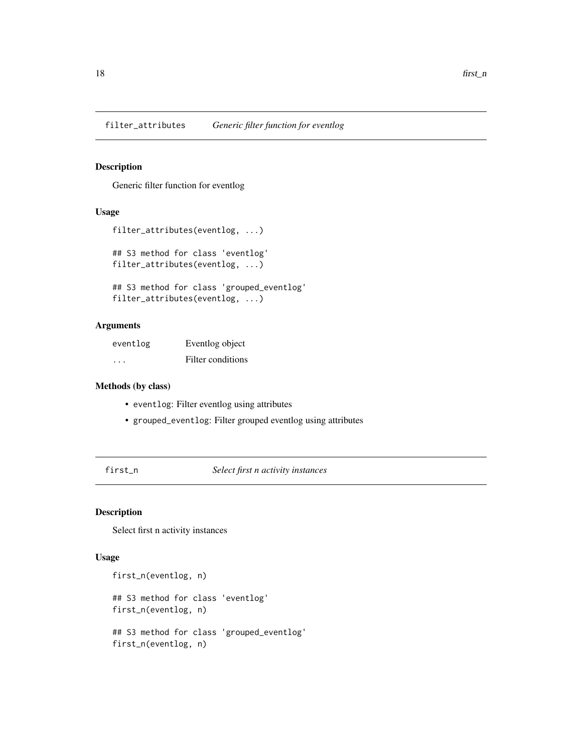<span id="page-17-0"></span>filter\_attributes *Generic filter function for eventlog*

## Description

Generic filter function for eventlog

## Usage

```
filter_attributes(eventlog, ...)
## S3 method for class 'eventlog'
```
filter\_attributes(eventlog, ...)

## S3 method for class 'grouped\_eventlog' filter\_attributes(eventlog, ...)

#### Arguments

| eventlog | Eventlog object   |
|----------|-------------------|
| $\cdot$  | Filter conditions |

## Methods (by class)

- eventlog: Filter eventlog using attributes
- grouped\_eventlog: Filter grouped eventlog using attributes

first\_n *Select first n activity instances*

## Description

Select first n activity instances

## Usage

```
first_n(eventlog, n)
## S3 method for class 'eventlog'
first_n(eventlog, n)
## S3 method for class 'grouped_eventlog'
first_n(eventlog, n)
```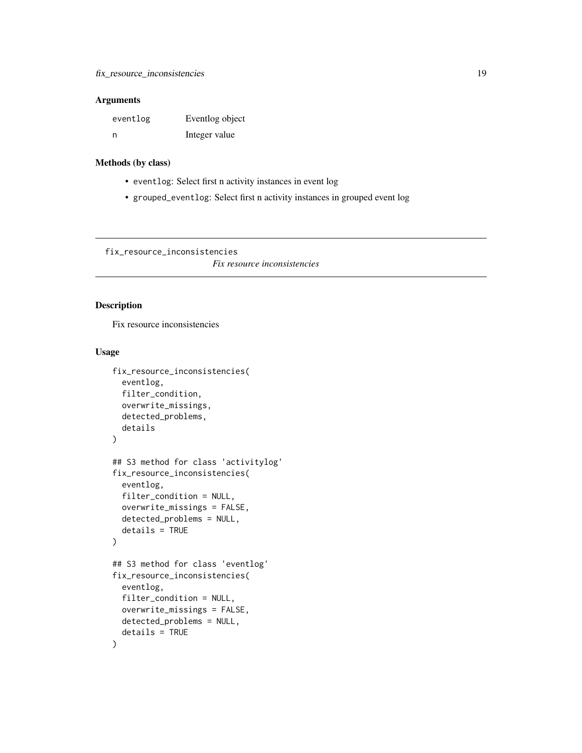#### <span id="page-18-0"></span>Arguments

| eventlog | Eventlog object |
|----------|-----------------|
| n        | Integer value   |

## Methods (by class)

- eventlog: Select first n activity instances in event log
- grouped\_eventlog: Select first n activity instances in grouped event log

fix\_resource\_inconsistencies

*Fix resource inconsistencies*

## Description

Fix resource inconsistencies

## Usage

```
fix_resource_inconsistencies(
  eventlog,
  filter_condition,
  overwrite_missings,
  detected_problems,
  details
)
## S3 method for class 'activitylog'
fix_resource_inconsistencies(
  eventlog,
  filter_condition = NULL,
  overwrite_missings = FALSE,
  detected_problems = NULL,
  details = TRUE
)
## S3 method for class 'eventlog'
fix_resource_inconsistencies(
  eventlog,
  filter_condition = NULL,
  overwrite_missings = FALSE,
  detected_problems = NULL,
  details = TRUE
)
```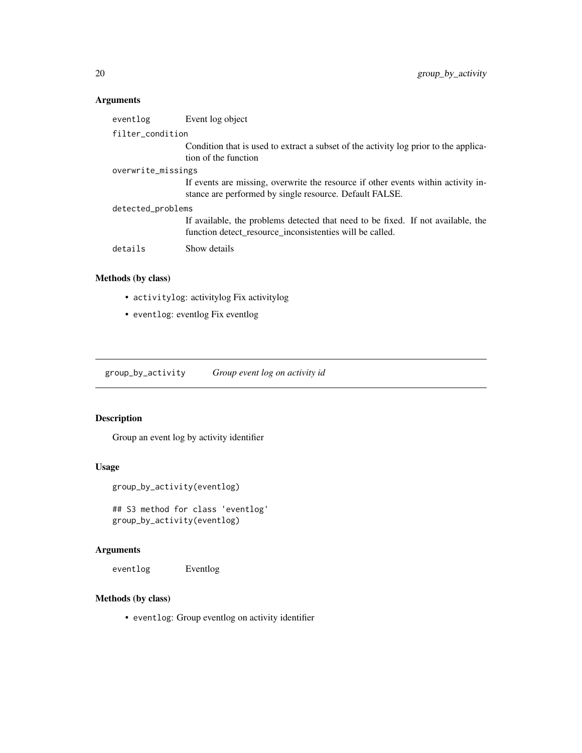## <span id="page-19-0"></span>Arguments

| eventlog           | Event log object                                                                                                                             |
|--------------------|----------------------------------------------------------------------------------------------------------------------------------------------|
| filter_condition   |                                                                                                                                              |
|                    | Condition that is used to extract a subset of the activity log prior to the applica-<br>tion of the function                                 |
| overwrite_missings |                                                                                                                                              |
|                    | If events are missing, overwrite the resource if other events within activity in-<br>stance are performed by single resource. Default FALSE. |
| detected_problems  |                                                                                                                                              |
|                    | If available, the problems detected that need to be fixed. If not available, the<br>function detect resource inconsistenties will be called. |
| details            | Show details                                                                                                                                 |

## Methods (by class)

- activitylog: activitylog Fix activitylog
- eventlog: eventlog Fix eventlog

group\_by\_activity *Group event log on activity id*

## Description

Group an event log by activity identifier

## Usage

```
group_by_activity(eventlog)
```
## S3 method for class 'eventlog' group\_by\_activity(eventlog)

## Arguments

eventlog Eventlog

## Methods (by class)

• eventlog: Group eventlog on activity identifier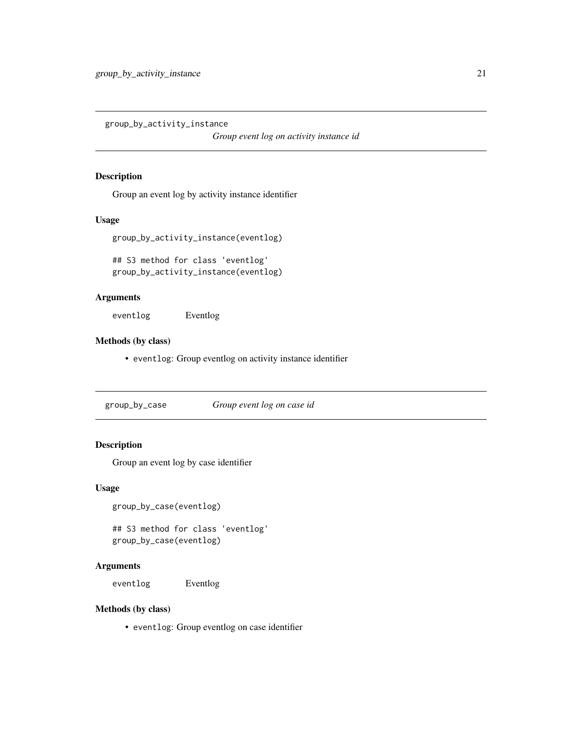<span id="page-20-0"></span>group\_by\_activity\_instance

*Group event log on activity instance id*

#### Description

Group an event log by activity instance identifier

#### Usage

```
group_by_activity_instance(eventlog)
```

```
## S3 method for class 'eventlog'
group_by_activity_instance(eventlog)
```
## Arguments

eventlog Eventlog

## Methods (by class)

• eventlog: Group eventlog on activity instance identifier

group\_by\_case *Group event log on case id*

## Description

Group an event log by case identifier

## Usage

```
group_by_case(eventlog)
```
## S3 method for class 'eventlog' group\_by\_case(eventlog)

## Arguments

eventlog Eventlog

#### Methods (by class)

• eventlog: Group eventlog on case identifier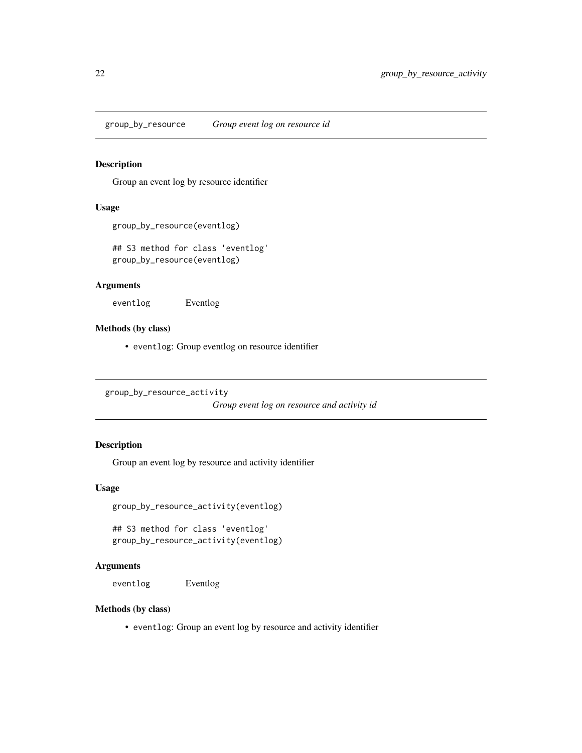<span id="page-21-0"></span>group\_by\_resource *Group event log on resource id*

## Description

Group an event log by resource identifier

#### Usage

group\_by\_resource(eventlog)

## S3 method for class 'eventlog' group\_by\_resource(eventlog)

#### Arguments

eventlog Eventlog

#### Methods (by class)

• eventlog: Group eventlog on resource identifier

group\_by\_resource\_activity

*Group event log on resource and activity id*

## Description

Group an event log by resource and activity identifier

## Usage

group\_by\_resource\_activity(eventlog)

## S3 method for class 'eventlog' group\_by\_resource\_activity(eventlog)

## Arguments

eventlog Eventlog

#### Methods (by class)

• eventlog: Group an event log by resource and activity identifier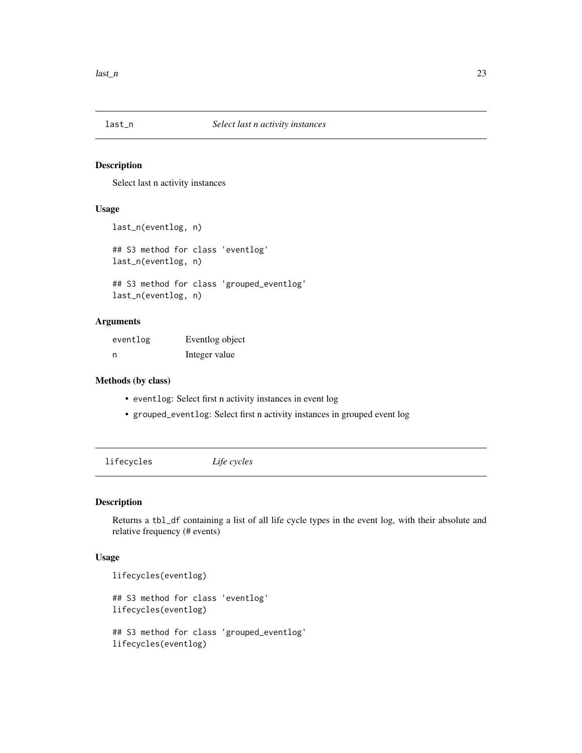<span id="page-22-0"></span>

Select last n activity instances

## Usage

```
last_n(eventlog, n)
## S3 method for class 'eventlog'
last_n(eventlog, n)
## S3 method for class 'grouped_eventlog'
last_n(eventlog, n)
```
#### Arguments

| eventlog | Eventlog object |
|----------|-----------------|
| - n      | Integer value   |

#### Methods (by class)

- eventlog: Select first n activity instances in event log
- grouped\_eventlog: Select first n activity instances in grouped event log

lifecycles *Life cycles*

## Description

Returns a tbl\_df containing a list of all life cycle types in the event log, with their absolute and relative frequency (# events)

## Usage

```
lifecycles(eventlog)
## S3 method for class 'eventlog'
lifecycles(eventlog)
## S3 method for class 'grouped_eventlog'
lifecycles(eventlog)
```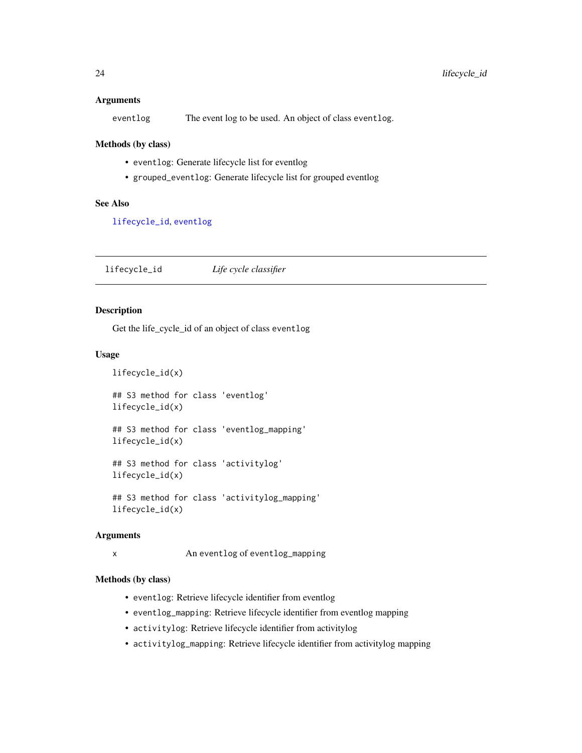#### <span id="page-23-0"></span>**Arguments**

eventlog The event log to be used. An object of class eventlog.

#### Methods (by class)

- eventlog: Generate lifecycle list for eventlog
- grouped\_eventlog: Generate lifecycle list for grouped eventlog

## See Also

[lifecycle\\_id](#page-23-1), [eventlog](#page-14-1)

<span id="page-23-1"></span>lifecycle\_id *Life cycle classifier*

## Description

Get the life\_cycle\_id of an object of class eventlog

#### Usage

lifecycle\_id(x) ## S3 method for class 'eventlog' lifecycle\_id(x) ## S3 method for class 'eventlog\_mapping' lifecycle\_id(x) ## S3 method for class 'activitylog' lifecycle\_id(x)

## S3 method for class 'activitylog\_mapping' lifecycle\_id(x)

#### Arguments

```
x An eventlog of eventlog_mapping
```
#### Methods (by class)

- eventlog: Retrieve lifecycle identifier from eventlog
- eventlog\_mapping: Retrieve lifecycle identifier from eventlog mapping
- activitylog: Retrieve lifecycle identifier from activitylog
- activitylog\_mapping: Retrieve lifecycle identifier from activitylog mapping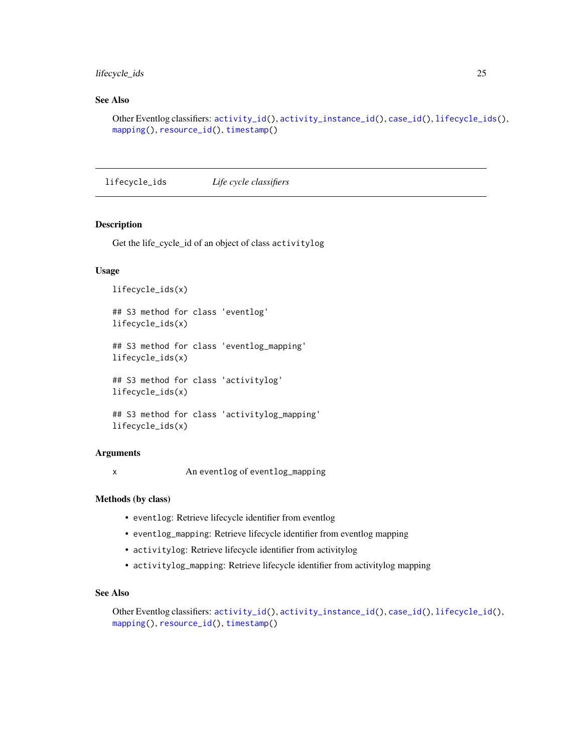## <span id="page-24-0"></span>lifecycle\_ids 25

## See Also

```
Other Eventlog classifiers: activity_id(), activity_instance_id(), case_id(), lifecycle_ids(),
mapping(), resource_id(), timestamp()
```
<span id="page-24-1"></span>lifecycle\_ids *Life cycle classifiers*

## Description

Get the life\_cycle\_id of an object of class activitylog

## Usage

```
lifecycle_ids(x)
## S3 method for class 'eventlog'
lifecycle_ids(x)
## S3 method for class 'eventlog_mapping'
lifecycle_ids(x)
## S3 method for class 'activitylog'
lifecycle_ids(x)
## S3 method for class 'activitylog_mapping'
lifecycle_ids(x)
```
#### Arguments

x An eventlog of eventlog\_mapping

#### Methods (by class)

- eventlog: Retrieve lifecycle identifier from eventlog
- eventlog\_mapping: Retrieve lifecycle identifier from eventlog mapping
- activitylog: Retrieve lifecycle identifier from activitylog
- activitylog\_mapping: Retrieve lifecycle identifier from activitylog mapping

## See Also

Other Eventlog classifiers: [activity\\_id\(](#page-4-1)), [activity\\_instance\\_id\(](#page-5-1)), [case\\_id\(](#page-11-1)), [lifecycle\\_id\(](#page-23-1)), [mapping\(](#page-25-1)), [resource\\_id\(](#page-31-1)), [timestamp\(](#page-38-1))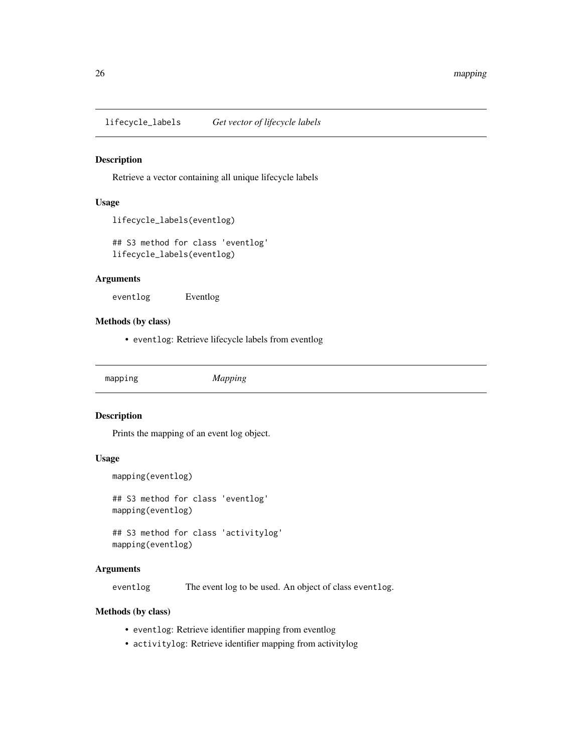<span id="page-25-0"></span>lifecycle\_labels *Get vector of lifecycle labels*

#### Description

Retrieve a vector containing all unique lifecycle labels

#### Usage

```
lifecycle_labels(eventlog)
```
## S3 method for class 'eventlog' lifecycle\_labels(eventlog)

#### Arguments

eventlog Eventlog

#### Methods (by class)

• eventlog: Retrieve lifecycle labels from eventlog

<span id="page-25-1"></span>mapping *Mapping*

#### Description

Prints the mapping of an event log object.

#### Usage

```
mapping(eventlog)
```
## S3 method for class 'eventlog' mapping(eventlog)

## S3 method for class 'activitylog' mapping(eventlog)

#### Arguments

eventlog The event log to be used. An object of class eventlog.

#### Methods (by class)

- eventlog: Retrieve identifier mapping from eventlog
- activitylog: Retrieve identifier mapping from activitylog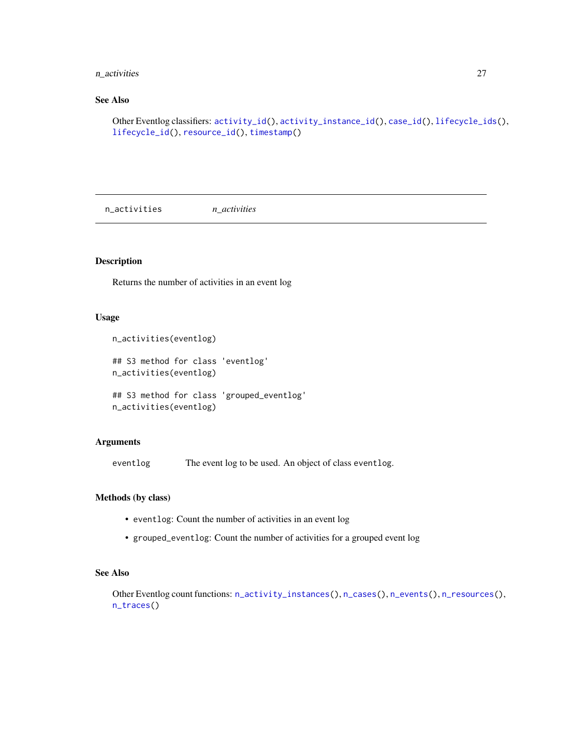## <span id="page-26-0"></span>n\_activities 27

## See Also

```
Other Eventlog classifiers: activity_id(), activity_instance_id(), case_id(), lifecycle_ids(),
lifecycle_id(), resource_id(), timestamp()
```
<span id="page-26-1"></span>n\_activities *n\_activities*

## Description

Returns the number of activities in an event log

#### Usage

```
n_activities(eventlog)
```
## S3 method for class 'eventlog' n\_activities(eventlog)

## S3 method for class 'grouped\_eventlog' n\_activities(eventlog)

#### Arguments

eventlog The event log to be used. An object of class eventlog.

### Methods (by class)

- eventlog: Count the number of activities in an event log
- grouped\_eventlog: Count the number of activities for a grouped event log

## See Also

Other Eventlog count functions: [n\\_activity\\_instances\(](#page-27-1)), [n\\_cases\(](#page-27-2)), [n\\_events\(](#page-28-1)), [n\\_resources\(](#page-29-1)), [n\\_traces\(](#page-29-2))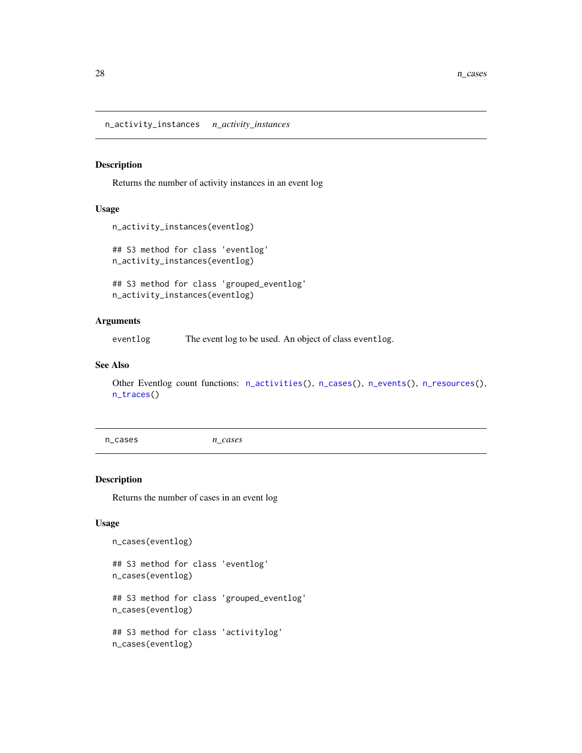<span id="page-27-1"></span><span id="page-27-0"></span>n\_activity\_instances *n\_activity\_instances*

#### Description

Returns the number of activity instances in an event log

## Usage

```
n_activity_instances(eventlog)
```
## S3 method for class 'eventlog' n\_activity\_instances(eventlog)

## S3 method for class 'grouped\_eventlog' n\_activity\_instances(eventlog)

#### Arguments

eventlog The event log to be used. An object of class eventlog.

## See Also

Other Eventlog count functions: [n\\_activities\(](#page-26-1)), [n\\_cases\(](#page-27-2)), [n\\_events\(](#page-28-1)), [n\\_resources\(](#page-29-1)), [n\\_traces\(](#page-29-2))

```
n_cases n_cases
```
#### Description

Returns the number of cases in an event log

## Usage

```
n_cases(eventlog)
```
## S3 method for class 'eventlog' n\_cases(eventlog)

## S3 method for class 'grouped\_eventlog' n\_cases(eventlog)

## S3 method for class 'activitylog' n\_cases(eventlog)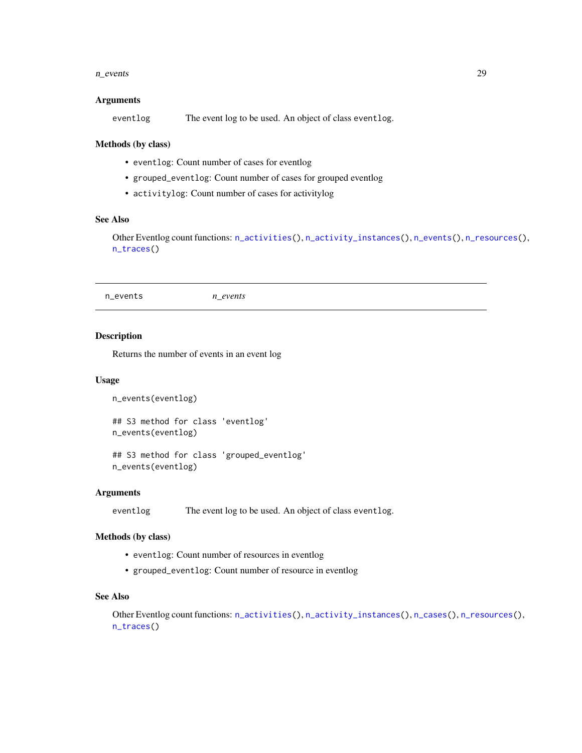#### <span id="page-28-0"></span>n\_events 29

#### Arguments

eventlog The event log to be used. An object of class eventlog.

#### Methods (by class)

- eventlog: Count number of cases for eventlog
- grouped\_eventlog: Count number of cases for grouped eventlog
- activitylog: Count number of cases for activitylog

## See Also

Other Eventlog count functions: [n\\_activities\(](#page-26-1)), [n\\_activity\\_instances\(](#page-27-1)), [n\\_events\(](#page-28-1)), [n\\_resources\(](#page-29-1)), [n\\_traces\(](#page-29-2))

<span id="page-28-1"></span>n\_events *n\_events*

#### Description

Returns the number of events in an event log

#### Usage

```
n_events(eventlog)
```
## S3 method for class 'eventlog' n\_events(eventlog)

## S3 method for class 'grouped\_eventlog' n\_events(eventlog)

## **Arguments**

eventlog The event log to be used. An object of class eventlog.

#### Methods (by class)

- eventlog: Count number of resources in eventlog
- grouped\_eventlog: Count number of resource in eventlog

## See Also

Other Eventlog count functions: [n\\_activities\(](#page-26-1)), [n\\_activity\\_instances\(](#page-27-1)), [n\\_cases\(](#page-27-2)), [n\\_resources\(](#page-29-1)), [n\\_traces\(](#page-29-2))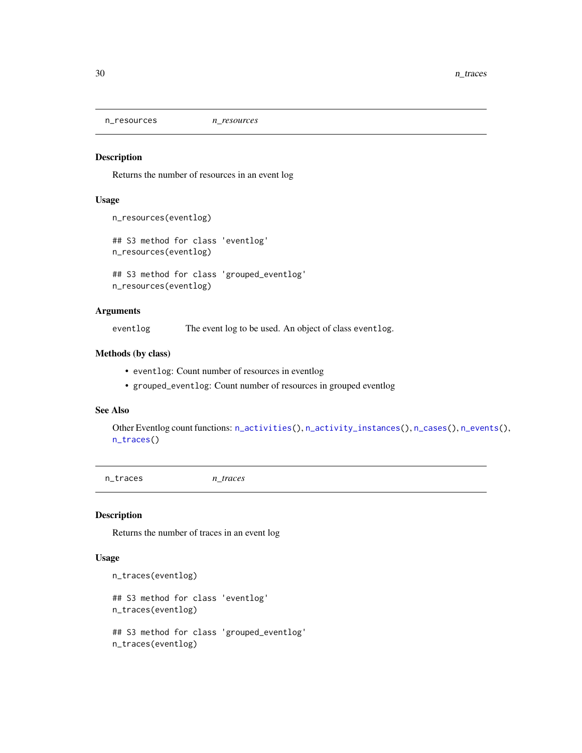<span id="page-29-1"></span><span id="page-29-0"></span>n\_resources *n\_resources*

## Description

Returns the number of resources in an event log

#### Usage

```
n_resources(eventlog)
```

```
## S3 method for class 'eventlog'
n_resources(eventlog)
```
## S3 method for class 'grouped\_eventlog' n\_resources(eventlog)

#### Arguments

eventlog The event log to be used. An object of class eventlog.

#### Methods (by class)

- eventlog: Count number of resources in eventlog
- grouped\_eventlog: Count number of resources in grouped eventlog

## See Also

Other Eventlog count functions: [n\\_activities\(](#page-26-1)), [n\\_activity\\_instances\(](#page-27-1)), [n\\_cases\(](#page-27-2)), [n\\_events\(](#page-28-1)), [n\\_traces\(](#page-29-2))

<span id="page-29-2"></span>n\_traces *n\_traces*

#### Description

Returns the number of traces in an event log

#### Usage

```
n_traces(eventlog)
```

```
## S3 method for class 'eventlog'
n_traces(eventlog)
```

```
## S3 method for class 'grouped_eventlog'
n_traces(eventlog)
```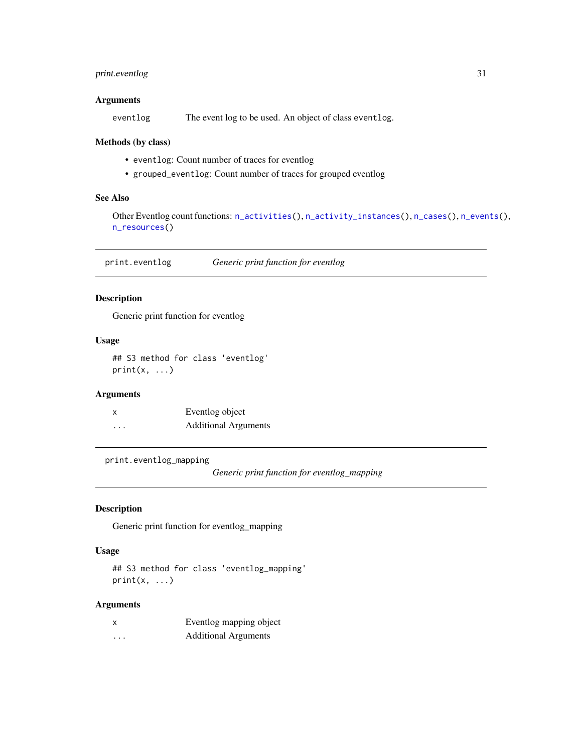## <span id="page-30-0"></span>print.eventlog 31

## Arguments

eventlog The event log to be used. An object of class eventlog.

## Methods (by class)

- eventlog: Count number of traces for eventlog
- grouped\_eventlog: Count number of traces for grouped eventlog

## See Also

Other Eventlog count functions: [n\\_activities\(](#page-26-1)), [n\\_activity\\_instances\(](#page-27-1)), [n\\_cases\(](#page-27-2)), [n\\_events\(](#page-28-1)), [n\\_resources\(](#page-29-1))

print.eventlog *Generic print function for eventlog*

## Description

Generic print function for eventlog

## Usage

## S3 method for class 'eventlog'  $print(x, \ldots)$ 

## Arguments

| x        | Eventlog object             |
|----------|-----------------------------|
| $\cdots$ | <b>Additional Arguments</b> |

print.eventlog\_mapping

*Generic print function for eventlog\_mapping*

## Description

Generic print function for eventlog\_mapping

## Usage

```
## S3 method for class 'eventlog_mapping'
print(x, \ldots)
```

| x        | Eventlog mapping object     |
|----------|-----------------------------|
| $\cdots$ | <b>Additional Arguments</b> |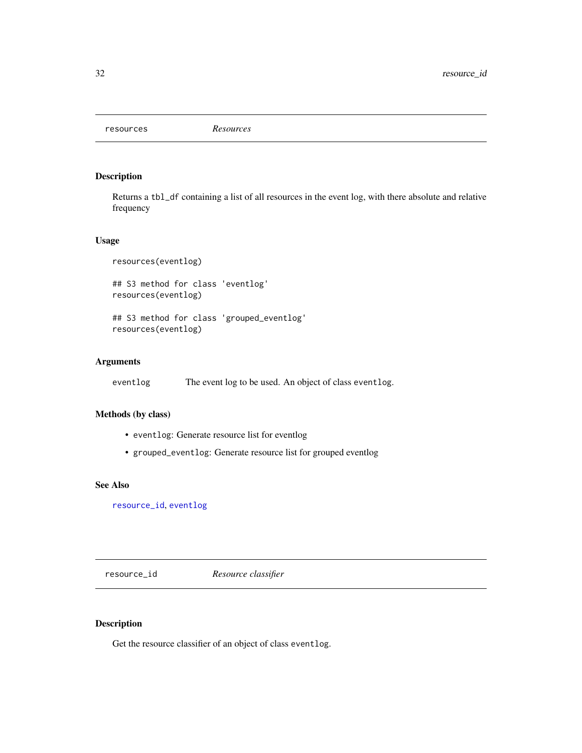<span id="page-31-0"></span>resources *Resources*

## Description

Returns a tbl\_df containing a list of all resources in the event log, with there absolute and relative frequency

#### Usage

resources(eventlog)

## S3 method for class 'eventlog' resources(eventlog)

## S3 method for class 'grouped\_eventlog' resources(eventlog)

## Arguments

eventlog The event log to be used. An object of class eventlog.

#### Methods (by class)

- eventlog: Generate resource list for eventlog
- grouped\_eventlog: Generate resource list for grouped eventlog

#### See Also

[resource\\_id](#page-31-1), [eventlog](#page-14-1)

<span id="page-31-1"></span>resource\_id *Resource classifier*

## Description

Get the resource classifier of an object of class eventlog.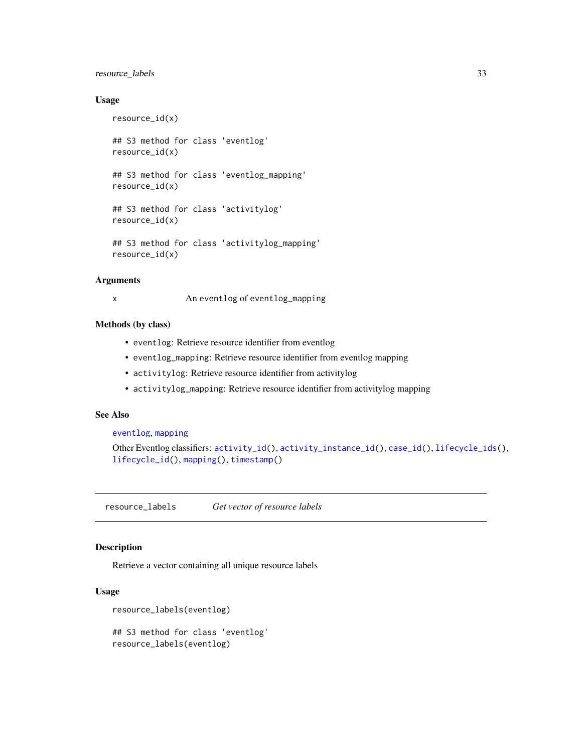## <span id="page-32-0"></span>resource\_labels 33

#### Usage

```
resource_id(x)
## S3 method for class 'eventlog'
resource_id(x)
## S3 method for class 'eventlog_mapping'
resource_id(x)
## S3 method for class 'activitylog'
resource_id(x)
## S3 method for class 'activitylog_mapping'
resource_id(x)
```
#### **Arguments**

x An eventlog of eventlog\_mapping

## Methods (by class)

- eventlog: Retrieve resource identifier from eventlog
- eventlog\_mapping: Retrieve resource identifier from eventlog mapping
- activitylog: Retrieve resource identifier from activitylog
- activitylog\_mapping: Retrieve resource identifier from activitylog mapping

#### See Also

#### [eventlog](#page-14-1), [mapping](#page-25-1)

```
Other Eventlog classifiers: activity_id(), activity_instance_id(), case_id(), lifecycle_ids(),
lifecycle_id(), mapping(), timestamp()
```
resource\_labels *Get vector of resource labels*

#### Description

Retrieve a vector containing all unique resource labels

#### Usage

```
resource_labels(eventlog)
```
## S3 method for class 'eventlog' resource\_labels(eventlog)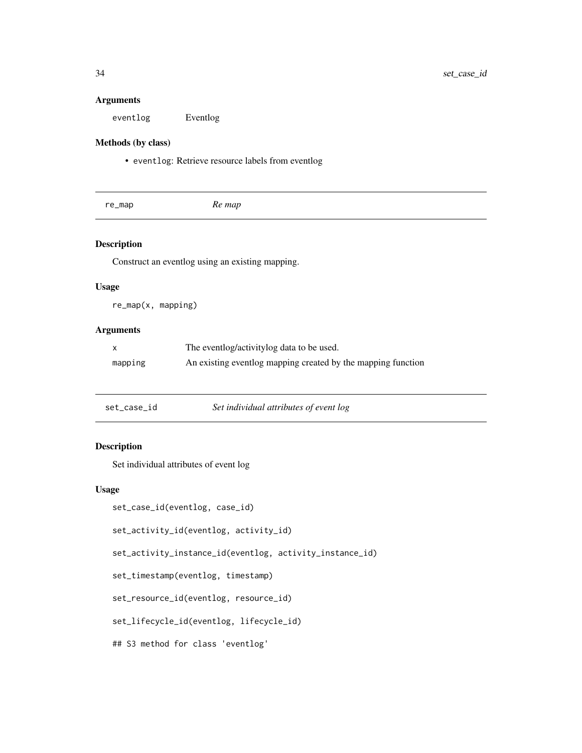#### <span id="page-33-0"></span>Arguments

eventlog Eventlog

## Methods (by class)

• eventlog: Retrieve resource labels from eventlog

| Re map<br>re_map |
|------------------|
|------------------|

## Description

Construct an eventlog using an existing mapping.

## Usage

re\_map(x, mapping)

## Arguments

| X       | The eventlog/activitylog data to be used.                    |
|---------|--------------------------------------------------------------|
| mapping | An existing eventlog mapping created by the mapping function |

| set_case_id | Set individual attributes of event log |
|-------------|----------------------------------------|
|-------------|----------------------------------------|

## Description

Set individual attributes of event log

## Usage

```
set_case_id(eventlog, case_id)
set_activity_id(eventlog, activity_id)
```
set\_activity\_instance\_id(eventlog, activity\_instance\_id)

set\_timestamp(eventlog, timestamp)

set\_resource\_id(eventlog, resource\_id)

set\_lifecycle\_id(eventlog, lifecycle\_id)

## S3 method for class 'eventlog'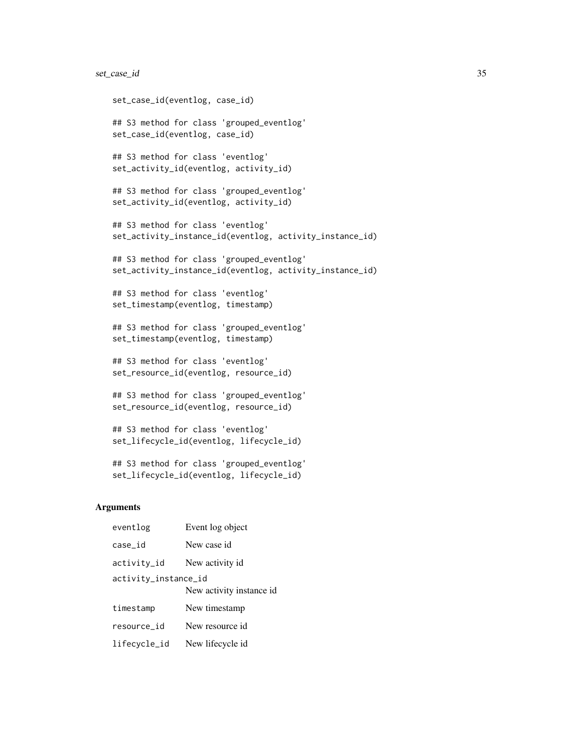## set\_case\_id 35

```
set_case_id(eventlog, case_id)
## S3 method for class 'grouped_eventlog'
set_case_id(eventlog, case_id)
## S3 method for class 'eventlog'
set_activity_id(eventlog, activity_id)
## S3 method for class 'grouped_eventlog'
set_activity_id(eventlog, activity_id)
## S3 method for class 'eventlog'
set_activity_instance_id(eventlog, activity_instance_id)
## S3 method for class 'grouped_eventlog'
set_activity_instance_id(eventlog, activity_instance_id)
## S3 method for class 'eventlog'
set_timestamp(eventlog, timestamp)
## S3 method for class 'grouped_eventlog'
set_timestamp(eventlog, timestamp)
## S3 method for class 'eventlog'
set_resource_id(eventlog, resource_id)
## S3 method for class 'grouped_eventlog'
set_resource_id(eventlog, resource_id)
```

```
## S3 method for class 'eventlog'
set_lifecycle_id(eventlog, lifecycle_id)
```

```
## S3 method for class 'grouped_eventlog'
set_lifecycle_id(eventlog, lifecycle_id)
```

| eventlog                                         | Event log object |
|--------------------------------------------------|------------------|
| case_id                                          | New case id      |
| activity_id                                      | New activity id  |
| activity_instance_id<br>New activity instance id |                  |
| timestamp                                        | New timestamp    |
| resource id                                      | New resource id  |
| lifecycle_id                                     | New lifecycle id |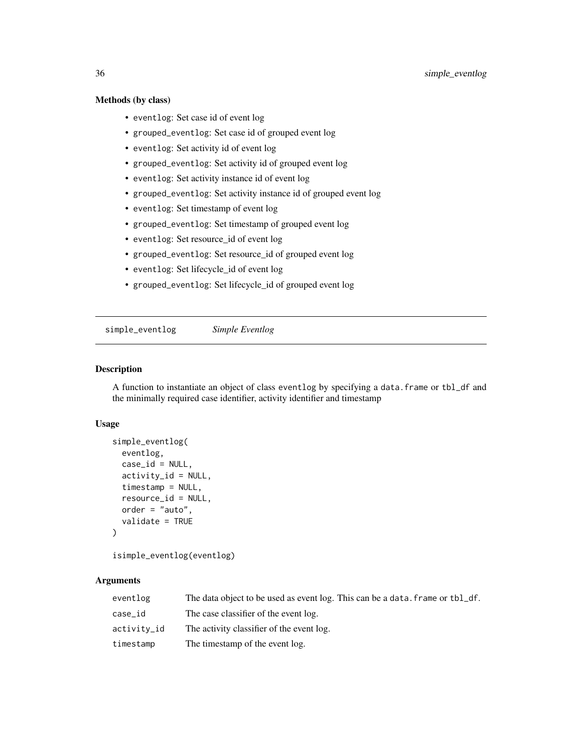## <span id="page-35-0"></span>Methods (by class)

- eventlog: Set case id of event log
- grouped\_eventlog: Set case id of grouped event log
- eventlog: Set activity id of event log
- grouped\_eventlog: Set activity id of grouped event log
- eventlog: Set activity instance id of event log
- grouped\_eventlog: Set activity instance id of grouped event log
- eventlog: Set timestamp of event log
- grouped\_eventlog: Set timestamp of grouped event log
- eventlog: Set resource\_id of event log
- grouped\_eventlog: Set resource\_id of grouped event log
- eventlog: Set lifecycle\_id of event log
- grouped\_eventlog: Set lifecycle\_id of grouped event log

simple\_eventlog *Simple Eventlog*

#### Description

A function to instantiate an object of class eventlog by specifying a data.frame or tbl\_df and the minimally required case identifier, activity identifier and timestamp

#### Usage

```
simple_eventlog(
 eventlog,
 case_id = NULL,activity_id = NULL,
  timestamp = NULL,
  resource_id = NULL,
 order = "auto",
  validate = TRUE
)
```
isimple\_eventlog(eventlog)

| eventlog    | The data object to be used as event log. This can be a data, frame or tbl_df. |
|-------------|-------------------------------------------------------------------------------|
| case_id     | The case classifier of the event log.                                         |
| activity_id | The activity classifier of the event log.                                     |
| timestamp   | The timestamp of the event log.                                               |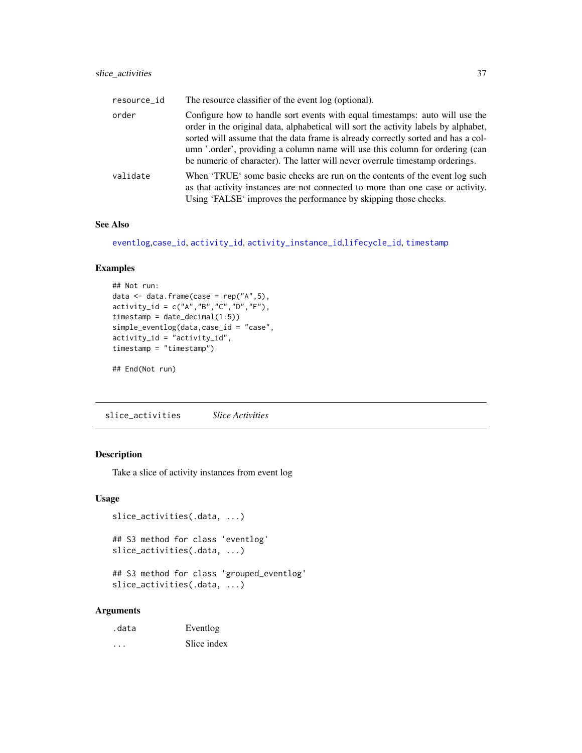<span id="page-36-0"></span>

| resource_id | The resource classifier of the event log (optional).                                                                                                                                                                                                                                                                                                                                                                      |
|-------------|---------------------------------------------------------------------------------------------------------------------------------------------------------------------------------------------------------------------------------------------------------------------------------------------------------------------------------------------------------------------------------------------------------------------------|
| order       | Configure how to handle sort events with equal timestamps: auto will use the<br>order in the original data, alphabetical will sort the activity labels by alphabet,<br>sorted will assume that the data frame is already correctly sorted and has a col-<br>umn '.order', providing a column name will use this column for ordering (can<br>be numeric of character). The latter will never overrule timestamp orderings. |
| validate    | When 'TRUE' some basic checks are run on the contents of the event log such<br>as that activity instances are not connected to more than one case or activity.<br>Using 'FALSE' improves the performance by skipping those checks.                                                                                                                                                                                        |

## See Also

[eventlog](#page-14-1),[case\\_id](#page-11-1), [activity\\_id](#page-4-1), [activity\\_instance\\_id](#page-5-1),[lifecycle\\_id](#page-23-1), [timestamp](#page-38-1)

#### Examples

```
## Not run:
data \leq data.frame(case = rep("A", 5),
activity_id = c("A", "B", "C", "D", "E"),
timestamp = date_decimal(1:5))
simple_eventlog(data,case_id = "case",
activity_id = "activity_id",
timestamp = "timestamp")
```
## End(Not run)

slice\_activities *Slice Activities*

## Description

Take a slice of activity instances from event log

### Usage

```
slice_activities(.data, ...)
## S3 method for class 'eventlog'
slice_activities(.data, ...)
```

```
## S3 method for class 'grouped_eventlog'
slice_activities(.data, ...)
```

| .data | Eventlog    |
|-------|-------------|
| .     | Slice index |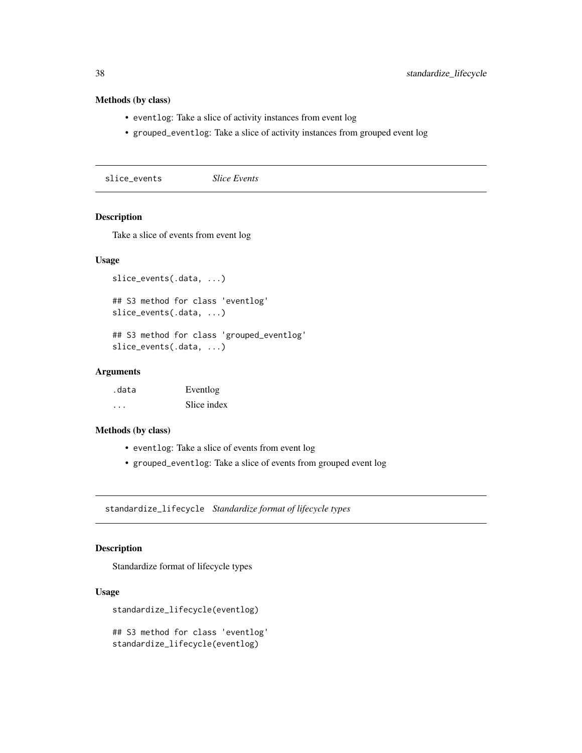## Methods (by class)

- eventlog: Take a slice of activity instances from event log
- grouped\_eventlog: Take a slice of activity instances from grouped event log

slice\_events *Slice Events*

## Description

Take a slice of events from event log

#### Usage

```
slice_events(.data, ...)
## S3 method for class 'eventlog'
slice_events(.data, ...)
## S3 method for class 'grouped_eventlog'
```

```
slice_events(.data, ...)
```
## Arguments

| .data                   | Eventlog    |
|-------------------------|-------------|
| $\cdot$ $\cdot$ $\cdot$ | Slice index |

## Methods (by class)

- eventlog: Take a slice of events from event log
- grouped\_eventlog: Take a slice of events from grouped event log

standardize\_lifecycle *Standardize format of lifecycle types*

## Description

Standardize format of lifecycle types

## Usage

standardize\_lifecycle(eventlog)

## S3 method for class 'eventlog' standardize\_lifecycle(eventlog)

<span id="page-37-0"></span>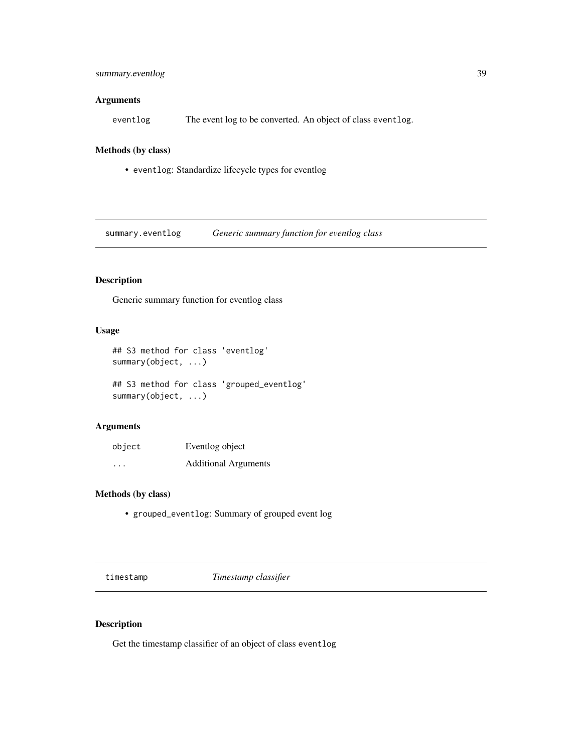## <span id="page-38-0"></span>summary.eventlog 39

## Arguments

eventlog The event log to be converted. An object of class eventlog.

#### Methods (by class)

• eventlog: Standardize lifecycle types for eventlog

summary.eventlog *Generic summary function for eventlog class*

## Description

Generic summary function for eventlog class

## Usage

```
## S3 method for class 'eventlog'
summary(object, ...)
```
## S3 method for class 'grouped\_eventlog' summary(object, ...)

#### Arguments

| object                  | Eventlog object             |
|-------------------------|-----------------------------|
| $\cdot$ $\cdot$ $\cdot$ | <b>Additional Arguments</b> |

#### Methods (by class)

• grouped\_eventlog: Summary of grouped event log

<span id="page-38-1"></span>timestamp *Timestamp classifier*

## Description

Get the timestamp classifier of an object of class eventlog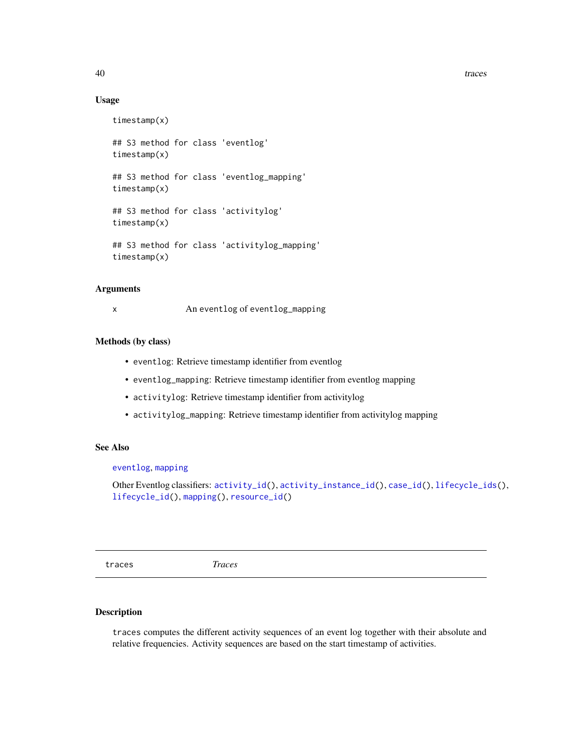40 traces and the contract of the contract of the contract of the contract of the contract of the contract of the contract of the contract of the contract of the contract of the contract of the contract of the contract of

#### Usage

```
timestamp(x)
## S3 method for class 'eventlog'
timestamp(x)
## S3 method for class 'eventlog_mapping'
timestamp(x)
## S3 method for class 'activitylog'
timestamp(x)
## S3 method for class 'activitylog_mapping'
timestamp(x)
```
#### Arguments

x An eventlog of eventlog\_mapping

#### Methods (by class)

- eventlog: Retrieve timestamp identifier from eventlog
- eventlog\_mapping: Retrieve timestamp identifier from eventlog mapping
- activitylog: Retrieve timestamp identifier from activitylog
- activitylog\_mapping: Retrieve timestamp identifier from activitylog mapping

## See Also

## [eventlog](#page-14-1), [mapping](#page-25-1)

Other Eventlog classifiers: [activity\\_id\(](#page-4-1)), [activity\\_instance\\_id\(](#page-5-1)), [case\\_id\(](#page-11-1)), [lifecycle\\_ids\(](#page-24-1)), [lifecycle\\_id\(](#page-23-1)), [mapping\(](#page-25-1)), [resource\\_id\(](#page-31-1))

traces *Traces*

## Description

traces computes the different activity sequences of an event log together with their absolute and relative frequencies. Activity sequences are based on the start timestamp of activities.

<span id="page-39-0"></span>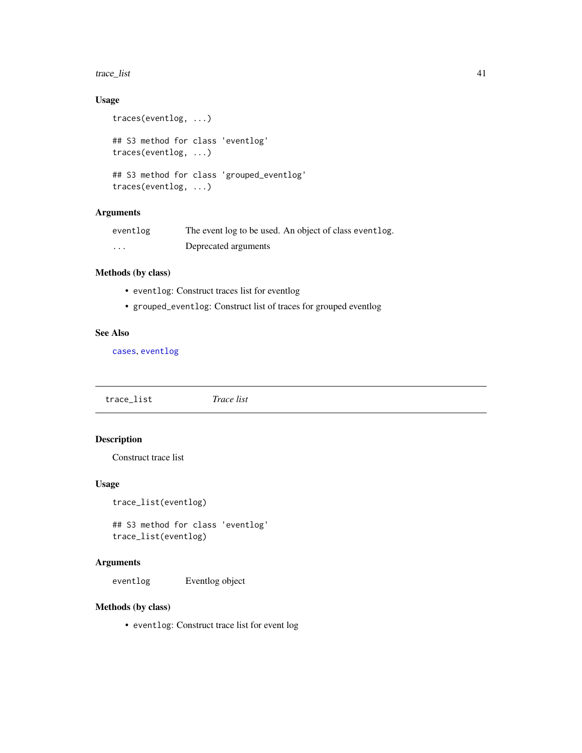#### <span id="page-40-0"></span>trace\_list 41

## Usage

```
traces(eventlog, ...)
## S3 method for class 'eventlog'
traces(eventlog, ...)
## S3 method for class 'grouped_eventlog'
traces(eventlog, ...)
```
## Arguments

| eventlog | The event log to be used. An object of class event log. |
|----------|---------------------------------------------------------|
| $\cdots$ | Deprecated arguments                                    |

## Methods (by class)

- eventlog: Construct traces list for eventlog
- grouped\_eventlog: Construct list of traces for grouped eventlog

## See Also

[cases](#page-10-1), [eventlog](#page-14-1)

trace\_list *Trace list*

## Description

Construct trace list

#### Usage

trace\_list(eventlog)

## S3 method for class 'eventlog' trace\_list(eventlog)

## Arguments

eventlog Eventlog object

## Methods (by class)

• eventlog: Construct trace list for event log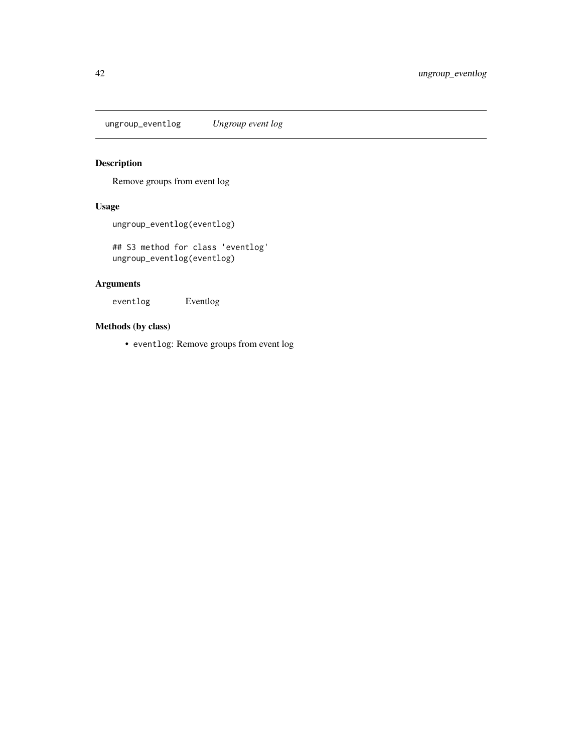<span id="page-41-0"></span>ungroup\_eventlog *Ungroup event log*

## Description

Remove groups from event log

## Usage

ungroup\_eventlog(eventlog)

## S3 method for class 'eventlog' ungroup\_eventlog(eventlog)

## Arguments

eventlog Eventlog

## Methods (by class)

• eventlog: Remove groups from event log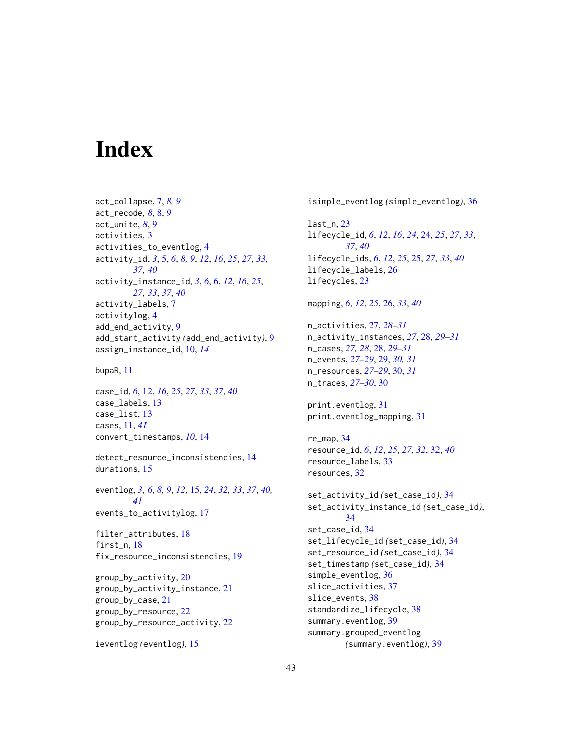# <span id="page-42-0"></span>**Index**

act\_collapse, [7,](#page-6-0) *[8,](#page-7-0) [9](#page-8-0)* act\_recode, *[8](#page-7-0)*, [8,](#page-7-0) *[9](#page-8-0)* act\_unite, *[8](#page-7-0)*, [9](#page-8-0) activities, [3](#page-2-0) activities\_to\_eventlog, [4](#page-3-0) activity\_id, *[3](#page-2-0)*, [5,](#page-4-0) *[6](#page-5-0)*, *[8,](#page-7-0) [9](#page-8-0)*, *[12](#page-11-0)*, *[16](#page-15-0)*, *[25](#page-24-0)*, *[27](#page-26-0)*, *[33](#page-32-0)*, *[37](#page-36-0)*, *[40](#page-39-0)* activity\_instance\_id, *[3](#page-2-0)*, *[6](#page-5-0)*, [6,](#page-5-0) *[12](#page-11-0)*, *[16](#page-15-0)*, *[25](#page-24-0)*, *[27](#page-26-0)*, *[33](#page-32-0)*, *[37](#page-36-0)*, *[40](#page-39-0)* activity\_labels, [7](#page-6-0) activitylog, [4](#page-3-0) add\_end\_activity, [9](#page-8-0) add\_start\_activity *(*add\_end\_activity*)*, [9](#page-8-0) assign\_instance\_id, [10,](#page-9-0) *[14](#page-13-0)*

bupaR, [11](#page-10-0)

case\_id, *[6](#page-5-0)*, [12,](#page-11-0) *[16](#page-15-0)*, *[25](#page-24-0)*, *[27](#page-26-0)*, *[33](#page-32-0)*, *[37](#page-36-0)*, *[40](#page-39-0)* case\_labels, [13](#page-12-0) case\_list, [13](#page-12-0) cases, [11,](#page-10-0) *[41](#page-40-0)* convert\_timestamps, *[10](#page-9-0)*, [14](#page-13-0)

detect\_resource\_inconsistencies, [14](#page-13-0) durations, [15](#page-14-0)

eventlog, *[3](#page-2-0)*, *[6](#page-5-0)*, *[8,](#page-7-0) [9](#page-8-0)*, *[12](#page-11-0)*, [15,](#page-14-0) *[24](#page-23-0)*, *[32,](#page-31-0) [33](#page-32-0)*, *[37](#page-36-0)*, *[40,](#page-39-0) [41](#page-40-0)* events\_to\_activitylog, [17](#page-16-0)

filter\_attributes, [18](#page-17-0) first\_n, [18](#page-17-0) fix\_resource\_inconsistencies, [19](#page-18-0)

group\_by\_activity, [20](#page-19-0) group\_by\_activity\_instance, [21](#page-20-0) group\_by\_case, [21](#page-20-0) group\_by\_resource, [22](#page-21-0) group\_by\_resource\_activity, [22](#page-21-0)

ieventlog *(*eventlog*)*, [15](#page-14-0)

isimple\_eventlog *(*simple\_eventlog*)*, [36](#page-35-0) last\_n, [23](#page-22-0) lifecycle\_id, *[6](#page-5-0)*, *[12](#page-11-0)*, *[16](#page-15-0)*, *[24](#page-23-0)*, [24,](#page-23-0) *[25](#page-24-0)*, *[27](#page-26-0)*, *[33](#page-32-0)*, *[37](#page-36-0)*, *[40](#page-39-0)* lifecycle\_ids, *[6](#page-5-0)*, *[12](#page-11-0)*, *[25](#page-24-0)*, [25,](#page-24-0) *[27](#page-26-0)*, *[33](#page-32-0)*, *[40](#page-39-0)* lifecycle\_labels, [26](#page-25-0) lifecycles, [23](#page-22-0) mapping, *[6](#page-5-0)*, *[12](#page-11-0)*, *[25](#page-24-0)*, [26,](#page-25-0) *[33](#page-32-0)*, *[40](#page-39-0)* n\_activities, [27,](#page-26-0) *[28](#page-27-0)[–31](#page-30-0)* n\_activity\_instances, *[27](#page-26-0)*, [28,](#page-27-0) *[29](#page-28-0)[–31](#page-30-0)* n\_cases, *[27,](#page-26-0) [28](#page-27-0)*, [28,](#page-27-0) *[29](#page-28-0)[–31](#page-30-0)* n\_events, *[27](#page-26-0)[–29](#page-28-0)*, [29,](#page-28-0) *[30,](#page-29-0) [31](#page-30-0)* n\_resources, *[27](#page-26-0)[–29](#page-28-0)*, [30,](#page-29-0) *[31](#page-30-0)* n\_traces, *[27](#page-26-0)[–30](#page-29-0)*, [30](#page-29-0) print.eventlog, [31](#page-30-0) print.eventlog\_mapping, [31](#page-30-0) re\_map, [34](#page-33-0) resource\_id, *[6](#page-5-0)*, *[12](#page-11-0)*, *[25](#page-24-0)*, *[27](#page-26-0)*, *[32](#page-31-0)*, [32,](#page-31-0) *[40](#page-39-0)* resource\_labels, [33](#page-32-0) resources, [32](#page-31-0) set\_activity\_id *(*set\_case\_id*)*, [34](#page-33-0) set\_activity\_instance\_id *(*set\_case\_id*)*, [34](#page-33-0) set\_case\_id, [34](#page-33-0) set\_lifecycle\_id *(*set\_case\_id*)*, [34](#page-33-0) set\_resource\_id *(*set\_case\_id*)*, [34](#page-33-0) set\_timestamp *(*set\_case\_id*)*, [34](#page-33-0) simple\_eventlog, [36](#page-35-0) slice\_activities, [37](#page-36-0) slice\_events, [38](#page-37-0) standardize\_lifecycle, [38](#page-37-0) summary.eventlog, [39](#page-38-0) summary.grouped\_eventlog *(*summary.eventlog*)*, [39](#page-38-0)